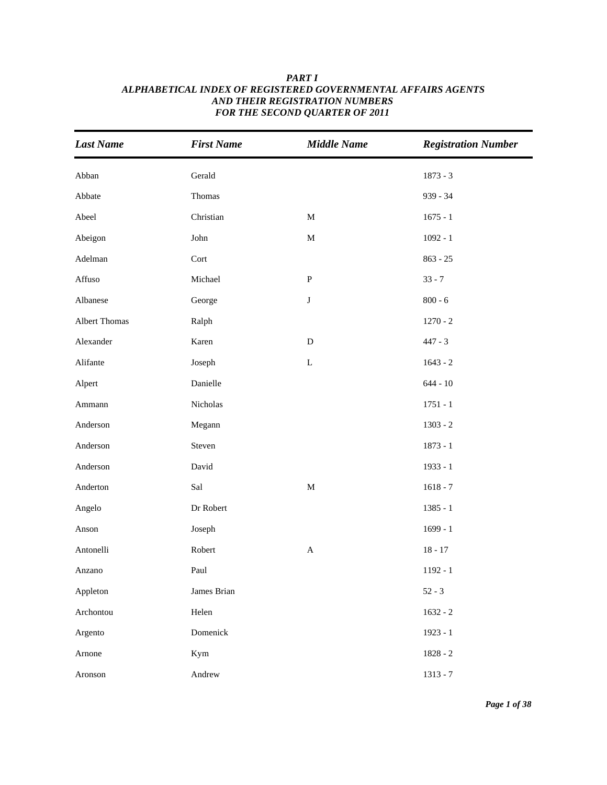| <b>Last Name</b>     | <b>First Name</b> | <b>Middle Name</b> | <b>Registration Number</b> |
|----------------------|-------------------|--------------------|----------------------------|
| Abban                | Gerald            |                    | $1873 - 3$                 |
| Abbate               | Thomas            |                    | 939 - 34                   |
| Abeel                | Christian         | $\mathbf M$        | $1675 - 1$                 |
| Abeigon              | John              | $\mathbf M$        | $1092 - 1$                 |
| Adelman              | Cort              |                    | $863 - 25$                 |
| Affuso               | Michael           | ${\bf P}$          | $33 - 7$                   |
| Albanese             | George            | $\bf J$            | $800 - 6$                  |
| <b>Albert Thomas</b> | Ralph             |                    | $1270 - 2$                 |
| Alexander            | Karen             | ${\bf D}$          | $447 - 3$                  |
| Alifante             | Joseph            | $\mathbf L$        | $1643 - 2$                 |
| Alpert               | Danielle          |                    | $644 - 10$                 |
| Ammann               | Nicholas          |                    | $1751 - 1$                 |
| Anderson             | Megann            |                    | $1303 - 2$                 |
| Anderson             | Steven            |                    | $1873 - 1$                 |
| Anderson             | David             |                    | 1933 - 1                   |
| Anderton             | Sal               | $\mathbf M$        | $1618 - 7$                 |
| Angelo               | Dr Robert         |                    | $1385 - 1$                 |
| Anson                | Joseph            |                    | $1699 - 1$                 |
| Antonelli            | Robert            | $\mathbf A$        | $18 - 17$                  |
| Anzano               | Paul              |                    | $1192 - 1$                 |
| Appleton             | James Brian       |                    | $52 - 3$                   |
| Archontou            | Helen             |                    | $1632 - 2$                 |
| Argento              | Domenick          |                    | $1923 - 1$                 |
| Arnone               | Kym               |                    | $1828 - 2$                 |
| Aronson              | Andrew            |                    | $1313 - 7$                 |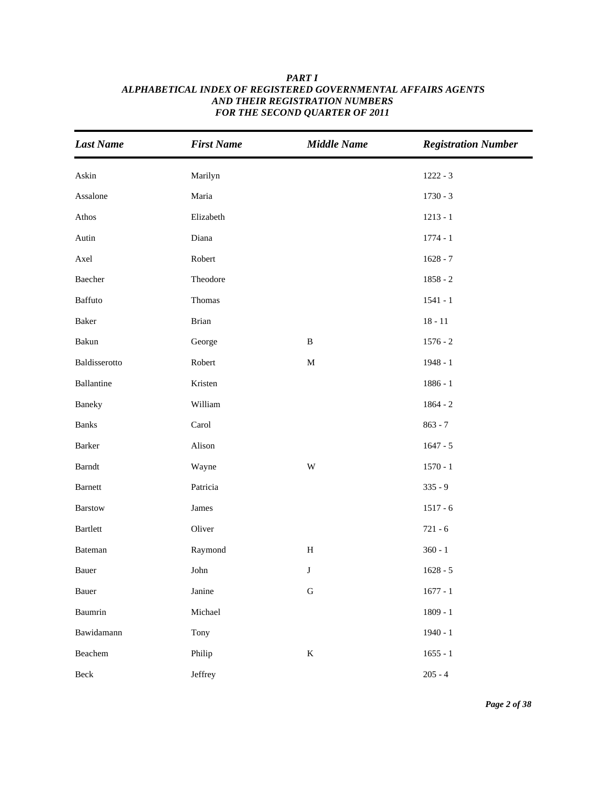| <b>Last Name</b>                                                      | <b>First Name</b> | <b>Middle Name</b>      | <b>Registration Number</b> |
|-----------------------------------------------------------------------|-------------------|-------------------------|----------------------------|
| Askin                                                                 | Marilyn           |                         | $1222 - 3$                 |
| Assalone                                                              | Maria             |                         | $1730 - 3$                 |
| Athos                                                                 | Elizabeth         |                         | $1213 - 1$                 |
| Autin                                                                 | Diana             |                         | $1774 - 1$                 |
| Axel                                                                  | Robert            |                         | $1628 - 7$                 |
| Baecher                                                               | Theodore          |                         | $1858 - 2$                 |
| Baffuto                                                               | Thomas            |                         | $1541 - 1$                 |
| Baker                                                                 | Brian             |                         | $18 - 11$                  |
| Bakun                                                                 | George            | $\, {\bf B}$            | $1576 - 2$                 |
| Baldisserotto                                                         | Robert            | $\mathbf M$             | $1948 - 1$                 |
| Ballantine                                                            | Kristen           |                         | $1886 - 1$                 |
| Baneky                                                                | William           |                         | $1864 - 2$                 |
| <b>Banks</b>                                                          | Carol             |                         | $863 - 7$                  |
| Barker                                                                | Alison            |                         | $1647 - 5$                 |
| $\ensuremath{\mathsf{B}}\xspace$ and $\ensuremath{\mathsf{t}}\xspace$ | Wayne             | $\ensuremath{\text{W}}$ | $1570 - 1$                 |
| Barnett                                                               | Patricia          |                         | $335 - 9$                  |
| Barstow                                                               | James             |                         | $1517 - 6$                 |
| Bartlett                                                              | Oliver            |                         | $721 - 6$                  |
| Bateman                                                               | Raymond           | $\, {\rm H}$            | $360 - 1$                  |
| Bauer                                                                 | John              | $\bf J$                 | $1628 - 5$                 |
| Bauer                                                                 | Janine            | ${\bf G}$               | $1677 - 1$                 |
| Baumrin                                                               | Michael           |                         | $1809 - 1$                 |
| Bawidamann                                                            | Tony              |                         | $1940 - 1$                 |
| Beachem                                                               | Philip            | $\bf K$                 | $1655 - 1$                 |
| $\mathrm{Beck}$                                                       | Jeffrey           |                         | $205 - 4$                  |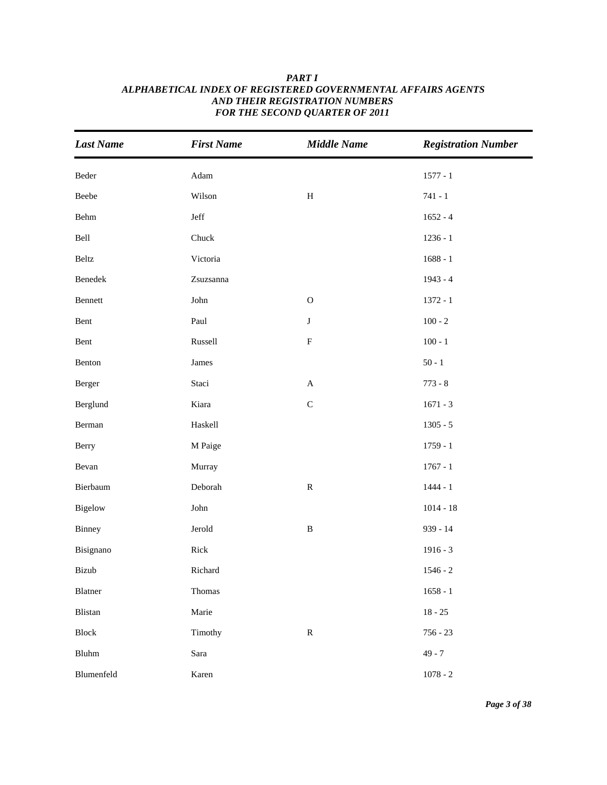| <b>Last Name</b> | <b>First Name</b>     | <b>Middle Name</b> | <b>Registration Number</b> |
|------------------|-----------------------|--------------------|----------------------------|
| $\mbox{Beder}$   | $\operatorname{Adam}$ |                    | $1577 - 1$                 |
| Beebe            | Wilson                | $\, {\rm H}$       | $741 - 1$                  |
| Behm             | Jeff                  |                    | $1652 - 4$                 |
| Bell             | Chuck                 |                    | $1236 - 1$                 |
| Beltz            | Victoria              |                    | $1688 - 1$                 |
| Benedek          | Zsuzsanna             |                    | $1943 - 4$                 |
| Bennett          | ${\rm John}$          | ${\bf O}$          | $1372 - 1$                 |
| Bent             | Paul                  | $\bf J$            | $100 - 2$                  |
| Bent             | Russell               | ${\bf F}$          | $100 - 1$                  |
| Benton           | James                 |                    | $50 - 1$                   |
| Berger           | Staci                 | $\mathbf A$        | $773 - 8$                  |
| Berglund         | Kiara                 | $\mathsf C$        | $1671 - 3$                 |
| Berman           | Haskell               |                    | $1305 - 5$                 |
| Berry            | M Paige               |                    | $1759 - 1$                 |
| Bevan            | Murray                |                    | $1767 - 1$                 |
| Bierbaum         | Deborah               | ${\bf R}$          | $1444 - 1$                 |
| Bigelow          | ${\rm John}$          |                    | $1014 - 18$                |
| Binney           | Jerold                | $\, {\bf B}$       | 939 - 14                   |
| Bisignano        | Rick                  |                    | $1916 - 3$                 |
| Bizub            | Richard               |                    | $1546 - 2$                 |
| Blatner          | Thomas                |                    | $1658 - 1$                 |
| Blistan          | Marie                 |                    | $18 - 25$                  |
| Block            | Timothy               | ${\bf R}$          | $756 - 23$                 |
| Bluhm            | Sara                  |                    | $49 - 7$                   |
| Blumenfeld       | Karen                 |                    | $1078 - 2$                 |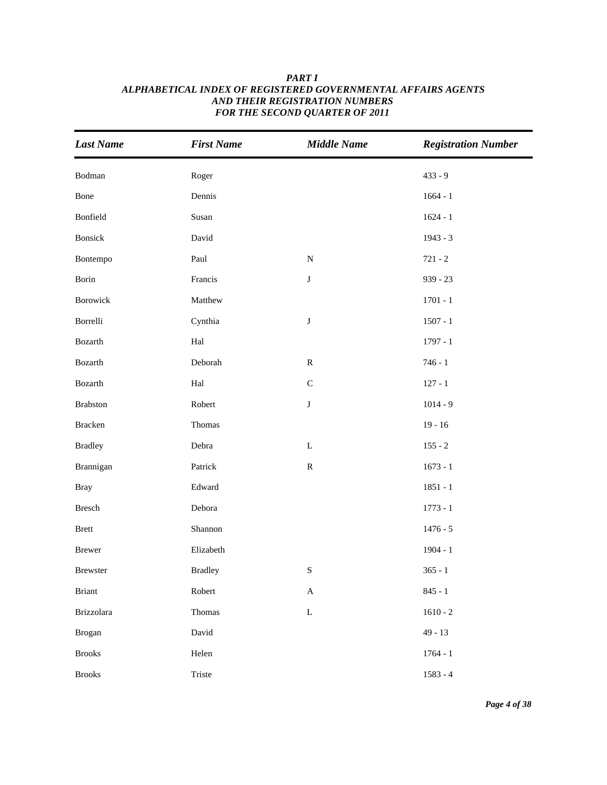| <b>Last Name</b> | <b>First Name</b>    | <b>Middle Name</b>        | <b>Registration Number</b> |
|------------------|----------------------|---------------------------|----------------------------|
| Bodman           | Roger                |                           | $433 - 9$                  |
| Bone             | Dennis               |                           | $1664 - 1$                 |
| Bonfield         | Susan                |                           | $1624 - 1$                 |
| Bonsick          | David                |                           | 1943 - 3                   |
| Bontempo         | Paul                 | ${\bf N}$                 | $721 - 2$                  |
| Borin            | Francis              | $\bf J$                   | $939 - 23$                 |
| Borowick         | Matthew              |                           | $1701 - 1$                 |
| Borrelli         | Cynthia              | $\bf J$                   | $1507 - 1$                 |
| Bozarth          | Hal                  |                           | $1797 - 1$                 |
| Bozarth          | Deborah              | ${\bf R}$                 | $746 - 1$                  |
| Bozarth          | $\operatorname{Hal}$ | $\mathsf C$               | $127 - 1$                  |
| <b>Brabston</b>  | Robert               | $\bf J$                   | $1014 - 9$                 |
| Bracken          | Thomas               |                           | $19 - 16$                  |
| <b>Bradley</b>   | Debra                | $\mathbf L$               | $155 - 2$                  |
| Brannigan        | Patrick              | ${\bf R}$                 | $1673 - 1$                 |
| <b>Bray</b>      | Edward               |                           | $1851 - 1$                 |
| Bresch           | Debora               |                           | $1773 - 1$                 |
| <b>Brett</b>     | Shannon              |                           | $1476 - 5$                 |
| Brewer           | Elizabeth            |                           | $1904 - 1$                 |
| Brewster         | <b>Bradley</b>       | ${\bf S}$                 | $365 - 1$                  |
| <b>Briant</b>    | Robert               | $\boldsymbol{\mathsf{A}}$ | $845 - 1$                  |
| Brizzolara       | Thomas               | $\mathbf L$               | $1610 - 2$                 |
| <b>Brogan</b>    | David                |                           | $49 - 13$                  |
| <b>Brooks</b>    | Helen                |                           | $1764 - 1$                 |
| <b>Brooks</b>    | Triste               |                           | $1583 - 4$                 |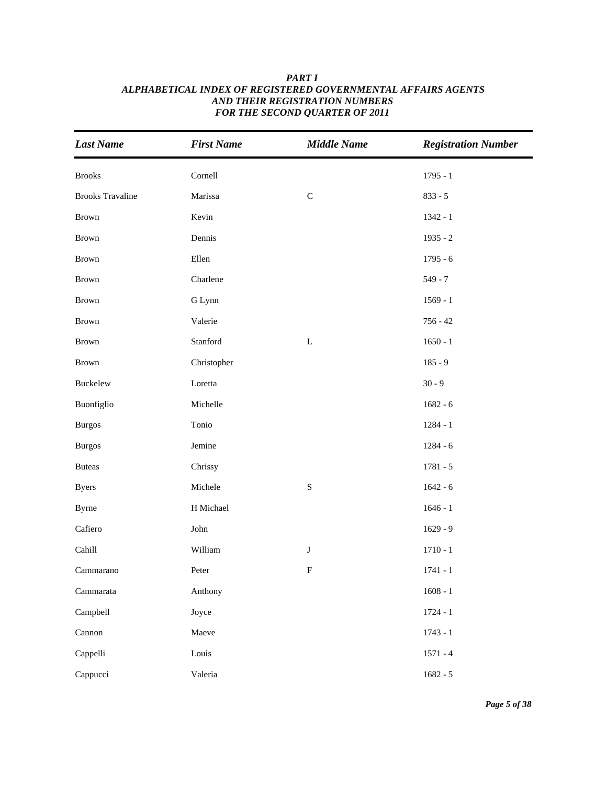| <b>Last Name</b>           | <b>First Name</b> | <b>Middle Name</b> | <b>Registration Number</b> |
|----------------------------|-------------------|--------------------|----------------------------|
| <b>Brooks</b>              | Cornell           |                    | $1795 - 1$                 |
| <b>Brooks Travaline</b>    | Marissa           | $\mathsf C$        | $833 - 5$                  |
| Brown                      | Kevin             |                    | $1342 - 1$                 |
| <b>Brown</b>               | Dennis            |                    | $1935 - 2$                 |
| Brown                      | Ellen             |                    | $1795 - 6$                 |
| Brown                      | Charlene          |                    | $549 - 7$                  |
| Brown                      | G Lynn            |                    | $1569 - 1$                 |
| Brown                      | Valerie           |                    | $756 - 42$                 |
| Brown                      | Stanford          | $\mathbf L$        | $1650 - 1$                 |
| Brown                      | Christopher       |                    | $185 - 9$                  |
| Buckelew                   | Loretta           |                    | $30 - 9$                   |
| Buonfiglio                 | Michelle          |                    | $1682 - 6$                 |
| <b>Burgos</b>              | Tonio             |                    | $1284 - 1$                 |
| <b>Burgos</b>              | Jemine            |                    | $1284 - 6$                 |
| <b>Buteas</b>              | Chrissy           |                    | $1781 - 5$                 |
| <b>Byers</b>               | Michele           | ${\bf S}$          | $1642 - 6$                 |
| <b>Byrne</b>               | H Michael         |                    | $1646 - 1$                 |
| Cafiero                    | John              |                    | $1629 - 9$                 |
| Cahill                     | William           | $\bf J$            | $1710 - 1$                 |
| Cammarano                  | Peter             | ${\bf F}$          | $1741 - 1$                 |
| $\operatorname{Cammarata}$ | Anthony           |                    | $1608 - 1$                 |
| Campbell                   | Joyce             |                    | $1724 - 1$                 |
| Cannon                     | Maeve             |                    | $1743 - 1$                 |
| Cappelli                   | Louis             |                    | $1571 - 4$                 |
| Cappucci                   | Valeria           |                    | $1682 - 5$                 |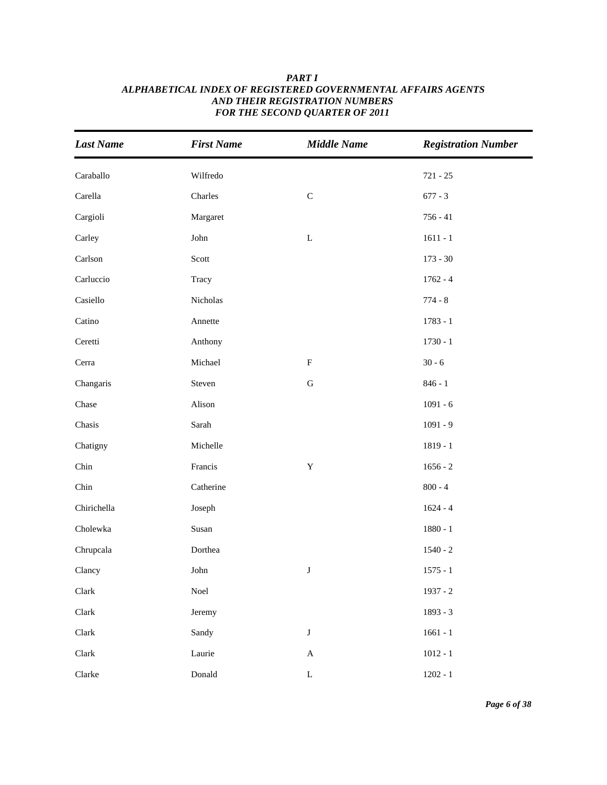| <b>Last Name</b> | <b>First Name</b> | <b>Middle Name</b> | <b>Registration Number</b> |
|------------------|-------------------|--------------------|----------------------------|
| Caraballo        | Wilfredo          |                    | $721 - 25$                 |
| Carella          | Charles           | $\mathbf C$        | $677 - 3$                  |
| Cargioli         | Margaret          |                    | $756 - 41$                 |
| Carley           | ${\rm John}$      | $\mathbf L$        | $1611 - 1$                 |
| Carlson          | Scott             |                    | $173 - 30$                 |
| Carluccio        | Tracy             |                    | $1762 - 4$                 |
| Casiello         | Nicholas          |                    | $774 - 8$                  |
| Catino           | Annette           |                    | $1783 - 1$                 |
| Ceretti          | Anthony           |                    | $1730 - 1$                 |
| Cerra            | Michael           | $\mathbf F$        | $30 - 6$                   |
| Changaris        | Steven            | ${\bf G}$          | $846 - 1$                  |
| Chase            | Alison            |                    | $1091 - 6$                 |
| Chasis           | Sarah             |                    | $1091 - 9$                 |
| Chatigny         | Michelle          |                    | $1819 - 1$                 |
| Chin             | Francis           | $\mathbf Y$        | $1656 - 2$                 |
| Chin             | Catherine         |                    | $800 - 4$                  |
| Chirichella      | Joseph            |                    | $1624 - 4$                 |
| Cholewka         | Susan             |                    | $1880 - 1$                 |
| Chrupcala        | Dorthea           |                    | $1540 - 2$                 |
| Clancy           | John              | $\bf J$            | $1575 - 1$                 |
| Clark            | $\rm Noel$        |                    | $1937 - 2$                 |
| Clark            | Jeremy            |                    | 1893 - 3                   |
| Clark            | Sandy             | $\bf J$            | $1661 - 1$                 |
| Clark            | Laurie            | $\mathbf A$        | $1012 - 1$                 |
| Clarke           | Donald            | $\mathbf L$        | $1202 - 1$                 |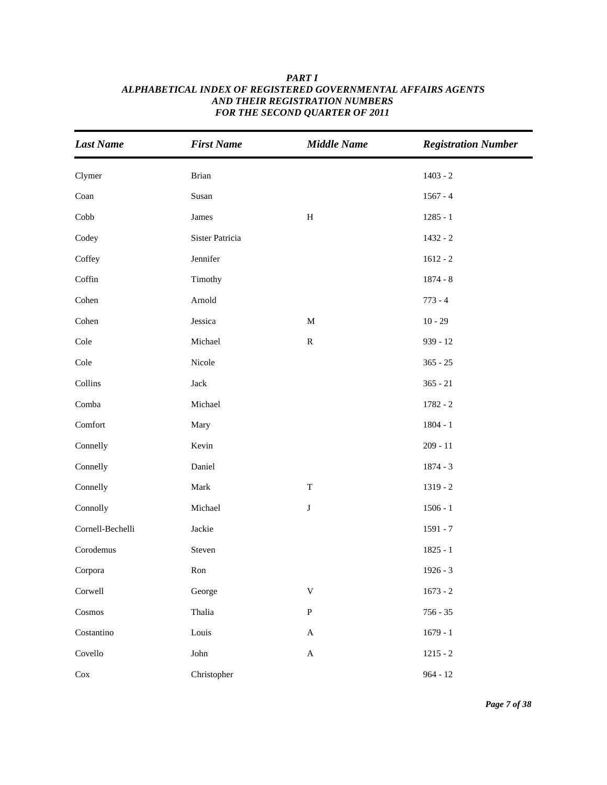| <b>Last Name</b> | <b>First Name</b> | <b>Middle Name</b>        | <b>Registration Number</b> |
|------------------|-------------------|---------------------------|----------------------------|
| Clymer           | Brian             |                           | $1403 - 2$                 |
| Coan             | Susan             |                           | $1567 - 4$                 |
| Cobb             | James             | $\, {\rm H}$              | $1285 - 1$                 |
| Codey            | Sister Patricia   |                           | $1432 - 2$                 |
| Coffey           | Jennifer          |                           | $1612 - 2$                 |
| Coffin           | Timothy           |                           | $1874 - 8$                 |
| Cohen            | Arnold            |                           | $773 - 4$                  |
| Cohen            | Jessica           | $\mathbf M$               | $10 - 29$                  |
| Cole             | Michael           | ${\bf R}$                 | $939 - 12$                 |
| Cole             | Nicole            |                           | $365 - 25$                 |
| Collins          | Jack              |                           | $365 - 21$                 |
| Comba            | Michael           |                           | $1782 - 2$                 |
| Comfort          | Mary              |                           | $1804 - 1$                 |
| Connelly         | Kevin             |                           | $209 - 11$                 |
| Connelly         | Daniel            |                           | $1874 - 3$                 |
| Connelly         | Mark              | $\mathbf T$               | $1319 - 2$                 |
| Connolly         | Michael           | $\bf J$                   | $1506 - 1$                 |
| Cornell-Bechelli | Jackie            |                           | $1591 - 7$                 |
| Corodemus        | Steven            |                           | $1825 - 1$                 |
| Corpora          | Ron               |                           | $1926 - 3$                 |
| Corwell          | George            | $\ensuremath{\mathbf{V}}$ | $1673 - 2$                 |
| Cosmos           | Thalia            | ${\bf P}$                 | $756 - 35$                 |
| Costantino       | Louis             | $\boldsymbol{\mathsf{A}}$ | $1679 - 1$                 |
| Covello          | John              | $\boldsymbol{\mathsf{A}}$ | $1215 - 2$                 |
| $\rm Cox$        | Christopher       |                           | $964 - 12$                 |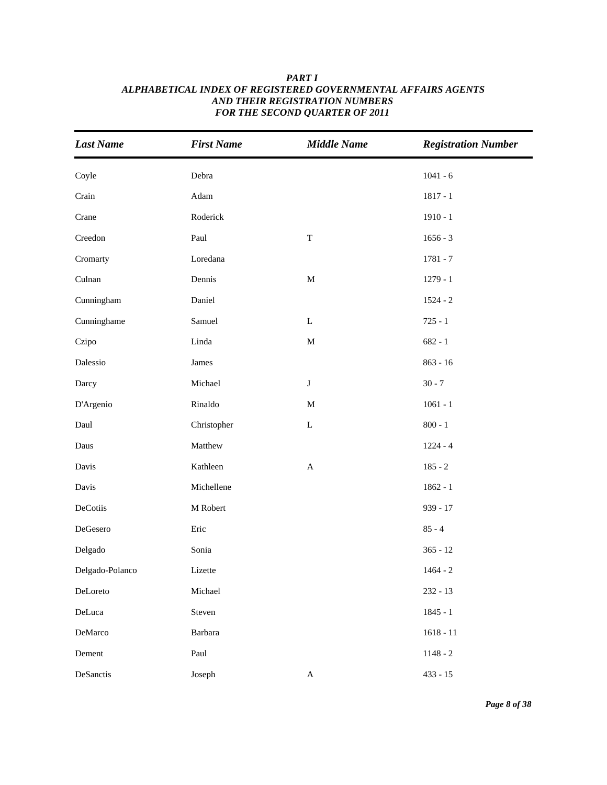| <b>Last Name</b> | <b>First Name</b> | <b>Middle Name</b> | <b>Registration Number</b> |
|------------------|-------------------|--------------------|----------------------------|
| Coyle            | Debra             |                    | $1041 - 6$                 |
| Crain            | Adam              |                    | $1817 - 1$                 |
| Crane            | Roderick          |                    | $1910 - 1$                 |
| Creedon          | Paul              | $\mathbf T$        | $1656 - 3$                 |
| Cromarty         | Loredana          |                    | $1781 - 7$                 |
| Culnan           | Dennis            | $\mathbf M$        | $1279 - 1$                 |
| Cunningham       | Daniel            |                    | $1524 - 2$                 |
| Cunninghame      | Samuel            | ${\bf L}$          | $725 - 1$                  |
| Czipo            | Linda             | $\mathbf M$        | $682 - 1$                  |
| Dalessio         | James             |                    | $863 - 16$                 |
| Darcy            | Michael           | $\bf J$            | $30 - 7$                   |
| D'Argenio        | Rinaldo           | $\mathbf M$        | $1061 - 1$                 |
| Daul             | Christopher       | $\mathbf L$        | $800 - 1$                  |
| Daus             | Matthew           |                    | $1224 - 4$                 |
| Davis            | Kathleen          | $\mathbf{A}$       | $185 - 2$                  |
| Davis            | Michellene        |                    | $1862 - 1$                 |
| DeCotiis         | M Robert          |                    | 939 - 17                   |
| DeGesero         | Eric              |                    | $85 - 4$                   |
| Delgado          | Sonia             |                    | $365 - 12$                 |
| Delgado-Polanco  | Lizette           |                    | $1464 - 2$                 |
| DeLoreto         | Michael           |                    | $232 - 13$                 |
| DeLuca           | Steven            |                    | $1845 - 1$                 |
| DeMarco          | Barbara           |                    | $1618 - 11$                |
| Dement           | Paul              |                    | $1148 - 2$                 |
| DeSanctis        | Joseph            | $\mathbf A$        | $433 - 15$                 |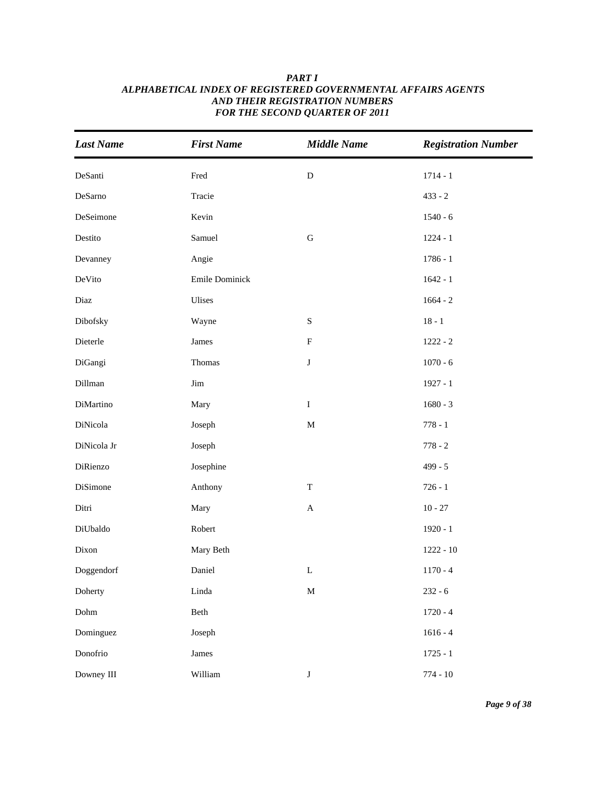| <b>Last Name</b> | <b>First Name</b>     | <b>Middle Name</b>        | <b>Registration Number</b> |
|------------------|-----------------------|---------------------------|----------------------------|
| DeSanti          | Fred                  | $\mathbf D$               | $1714 - 1$                 |
| DeSarno          | Tracie                |                           | $433 - 2$                  |
| DeSeimone        | Kevin                 |                           | $1540 - 6$                 |
| Destito          | Samuel                | ${\bf G}$                 | $1224 - 1$                 |
| Devanney         | Angie                 |                           | $1786 - 1$                 |
| DeVito           | Emile Dominick        |                           | $1642 - 1$                 |
| Diaz             | Ulises                |                           | $1664 - 2$                 |
| Dibofsky         | Wayne                 | ${\bf S}$                 | $18 - 1$                   |
| Dieterle         | James                 | ${\bf F}$                 | $1222 - 2$                 |
| DiGangi          | Thomas                | ${\bf J}$                 | $1070 - 6$                 |
| Dillman          | $\mathop{\text{Jim}}$ |                           | $1927 - 1$                 |
| DiMartino        | Mary                  | $\bf I$                   | $1680 - 3$                 |
| DiNicola         | Joseph                | $\mathbf M$               | $778 - 1$                  |
| DiNicola Jr      | Joseph                |                           | $778 - 2$                  |
| DiRienzo         | Josephine             |                           | $499 - 5$                  |
| DiSimone         | Anthony               | $\mathbf T$               | $726 - 1$                  |
| Ditri            | Mary                  | $\boldsymbol{\mathsf{A}}$ | $10 - 27$                  |
| DiUbaldo         | Robert                |                           | $1920 - 1$                 |
| Dixon            | Mary Beth             |                           | $1222 - 10$                |
| Doggendorf       | Daniel                | $\mathbf L$               | $1170 - 4$                 |
| Doherty          | Linda                 | $\mathbf M$               | $232 - 6$                  |
| Dohm             | Beth                  |                           | $1720 - 4$                 |
| Dominguez        | Joseph                |                           | $1616 - 4$                 |
| Donofrio         | James                 |                           | $1725 - 1$                 |
| Downey III       | William               | $\bf J$                   | $774 - 10$                 |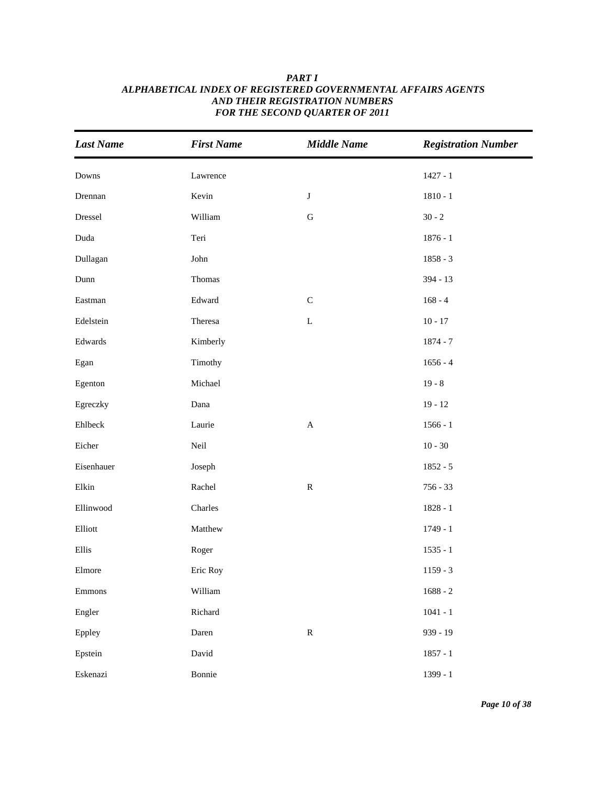| <b>Last Name</b> | <b>First Name</b> | <b>Middle Name</b>        | <b>Registration Number</b> |
|------------------|-------------------|---------------------------|----------------------------|
| Downs            | Lawrence          |                           | $1427 - 1$                 |
| Drennan          | Kevin             | $\bf J$                   | $1810 - 1$                 |
| Dressel          | William           | ${\bf G}$                 | $30 - 2$                   |
| Duda             | Teri              |                           | $1876 - 1$                 |
| Dullagan         | John              |                           | $1858 - 3$                 |
| Dunn             | Thomas            |                           | 394 - 13                   |
| Eastman          | Edward            | $\mathsf C$               | $168 - 4$                  |
| Edelstein        | Theresa           | $\mathbf L$               | $10 - 17$                  |
| Edwards          | Kimberly          |                           | $1874 - 7$                 |
| Egan             | Timothy           |                           | $1656 - 4$                 |
| Egenton          | Michael           |                           | $19 - 8$                   |
| Egreczky         | Dana              |                           | $19 - 12$                  |
| Ehlbeck          | Laurie            | $\boldsymbol{\mathsf{A}}$ | $1566 - 1$                 |
| Eicher           | Neil              |                           | $10 - 30$                  |
| Eisenhauer       | Joseph            |                           | $1852 - 5$                 |
| Elkin            | Rachel            | ${\bf R}$                 | $756 - 33$                 |
| Ellinwood        | Charles           |                           | $1828 - 1$                 |
| Elliott          | Matthew           |                           | $1749 - 1$                 |
| Ellis            | Roger             |                           | $1535 - 1$                 |
| Elmore           | Eric Roy          |                           | $1159 - 3$                 |
| Emmons           | William           |                           | $1688 - 2$                 |
| Engler           | Richard           |                           | $1041 - 1$                 |
| Eppley           | Daren             | ${\bf R}$                 | 939 - 19                   |
| Epstein          | David             |                           | $1857 - 1$                 |
| Eskenazi         | Bonnie            |                           | 1399 - 1                   |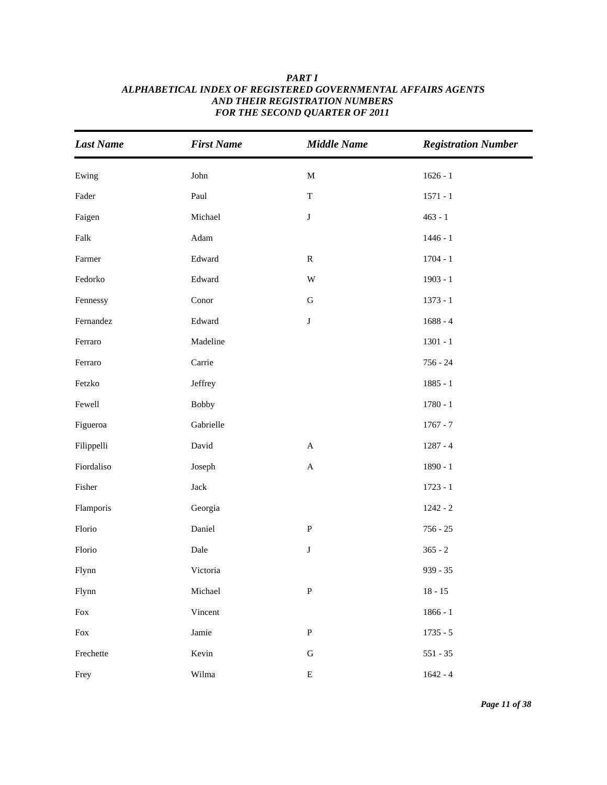| <b>Last Name</b>                                                   | <b>First Name</b> | <b>Middle Name</b> | <b>Registration Number</b> |
|--------------------------------------------------------------------|-------------------|--------------------|----------------------------|
| Ewing                                                              | John              | $\mathbf M$        | $1626 - 1$                 |
| Fader                                                              | Paul              | $\mathbf T$        | $1571 - 1$                 |
| Faigen                                                             | Michael           | J                  | $463 - 1$                  |
| Falk                                                               | Adam              |                    | $1446 - 1$                 |
| Farmer                                                             | Edward            | ${\bf R}$          | $1704 - 1$                 |
| Fedorko                                                            | Edward            | W                  | $1903 - 1$                 |
| Fennessy                                                           | Conor             | ${\bf G}$          | $1373 - 1$                 |
| Fernandez                                                          | Edward            | $\bf J$            | $1688 - 4$                 |
| Ferraro                                                            | Madeline          |                    | $1301 - 1$                 |
| Ferraro                                                            | Carrie            |                    | $756 - 24$                 |
| Fetzko                                                             | Jeffrey           |                    | $1885 - 1$                 |
| Fewell                                                             | <b>Bobby</b>      |                    | $1780 - 1$                 |
| Figueroa                                                           | Gabrielle         |                    | $1767 - 7$                 |
| Filippelli                                                         | David             | $\mathbf A$        | $1287 - 4$                 |
| Fiordaliso                                                         | Joseph            | $\mathbf A$        | $1890 - 1$                 |
| Fisher                                                             | $\rm Jack$        |                    | $1723 - 1$                 |
| Flamporis                                                          | Georgia           |                    | $1242 - 2$                 |
| Florio                                                             | Daniel            | ${\bf P}$          | $756 - 25$                 |
| Florio                                                             | Dale              | J                  | $365 - 2$                  |
| Flynn                                                              | Victoria          |                    | $939 - 35$                 |
| Flynn                                                              | Michael           | ${\bf P}$          | $18 - 15$                  |
| Fox                                                                | Vincent           |                    | $1866 - 1$                 |
| $\operatorname*{Fox}% \nolimits_{\Delta}\left( \mathcal{M}\right)$ | Jamie             | ${\bf P}$          | $1735 - 5$                 |
| Frechette                                                          | Kevin             | ${\bf G}$          | $551 - 35$                 |
| Frey                                                               | Wilma             | ${\bf E}$          | $1642 - 4$                 |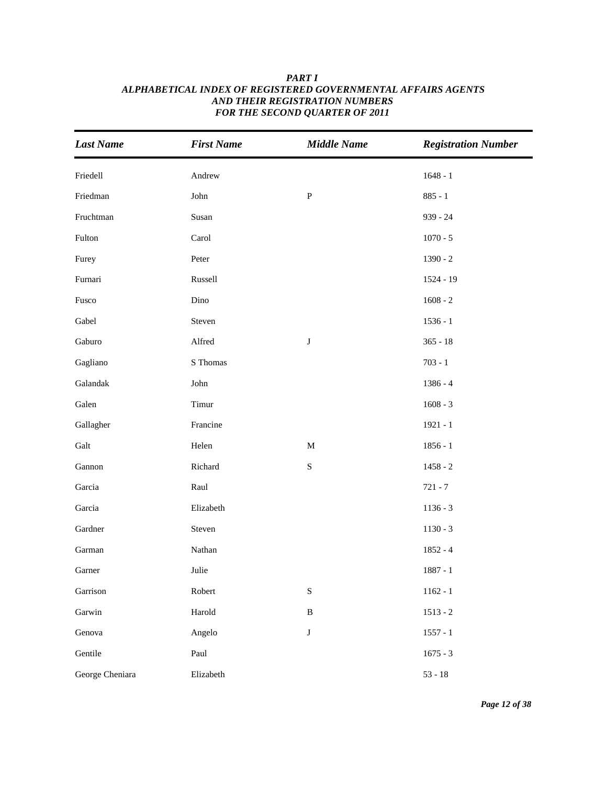| <b>Last Name</b> | <b>First Name</b> | <b>Middle Name</b> | <b>Registration Number</b> |
|------------------|-------------------|--------------------|----------------------------|
| Friedell         | Andrew            |                    | $1648 - 1$                 |
| Friedman         | John              | $\, {\bf p}$       | $885 - 1$                  |
| Fruchtman        | Susan             |                    | $939 - 24$                 |
| Fulton           | Carol             |                    | $1070 - 5$                 |
| Furey            | Peter             |                    | $1390 - 2$                 |
| Furnari          | Russell           |                    | $1524 - 19$                |
| Fusco            | Dino              |                    | $1608 - 2$                 |
| Gabel            | Steven            |                    | $1536 - 1$                 |
| Gaburo           | Alfred            | $\bf J$            | $365 - 18$                 |
| Gagliano         | S Thomas          |                    | $703 - 1$                  |
| Galandak         | John              |                    | 1386 - 4                   |
| Galen            | Timur             |                    | $1608 - 3$                 |
| Gallagher        | Francine          |                    | $1921 - 1$                 |
| Galt             | Helen             | $\mathbf M$        | $1856 - 1$                 |
| Gannon           | Richard           | ${\bf S}$          | $1458 - 2$                 |
| Garcia           | Raul              |                    | $721 - 7$                  |
| Garcia           | Elizabeth         |                    | $1136 - 3$                 |
| Gardner          | Steven            |                    | $1130 - 3$                 |
| Garman           | Nathan            |                    | $1852 - 4$                 |
| Garner           | Julie             |                    | $1887 - 1$                 |
| Garrison         | Robert            | ${\bf S}$          | $1162 - 1$                 |
| Garwin           | Harold            | $\, {\bf B}$       | $1513 - 2$                 |
| Genova           | Angelo            | $\bf J$            | $1557 - 1$                 |
| Gentile          | Paul              |                    | $1675 - 3$                 |
| George Cheniara  | Elizabeth         |                    | $53 - 18$                  |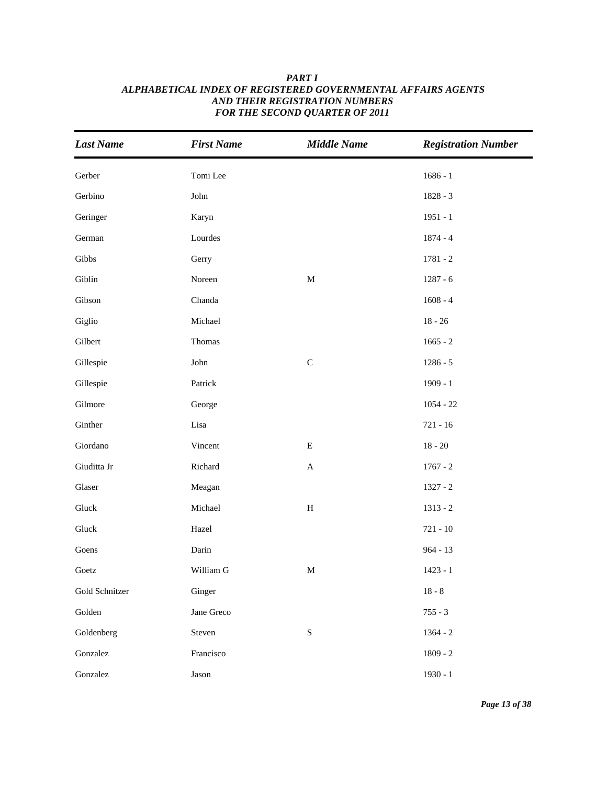| <b>Last Name</b> | <b>First Name</b> | <b>Middle Name</b>        | <b>Registration Number</b> |
|------------------|-------------------|---------------------------|----------------------------|
| Gerber           | Tomi Lee          |                           | $1686 - 1$                 |
| Gerbino          | John              |                           | $1828 - 3$                 |
| Geringer         | Karyn             |                           | $1951 - 1$                 |
| German           | Lourdes           |                           | $1874 - 4$                 |
| Gibbs            | Gerry             |                           | $1781 - 2$                 |
| Giblin           | Noreen            | $\mathbf M$               | $1287 - 6$                 |
| Gibson           | Chanda            |                           | $1608 - 4$                 |
| Giglio           | Michael           |                           | $18 - 26$                  |
| Gilbert          | Thomas            |                           | $1665 - 2$                 |
| Gillespie        | John              | $\mathbf C$               | $1286 - 5$                 |
| Gillespie        | Patrick           |                           | $1909 - 1$                 |
| Gilmore          | George            |                           | $1054 - 22$                |
| Ginther          | Lisa              |                           | $721 - 16$                 |
| Giordano         | Vincent           | ${\bf E}$                 | $18 - 20$                  |
| Giuditta Jr      | Richard           | $\boldsymbol{\mathsf{A}}$ | $1767 - 2$                 |
| Glaser           | Meagan            |                           | $1327 - 2$                 |
| Gluck            | Michael           | $\, {\rm H}$              | $1313 - 2$                 |
| Gluck            | Hazel             |                           | $721 - 10$                 |
| Goens            | Darin             |                           | $964 - 13$                 |
| Goetz            | William G         | $\mathbf M$               | $1423 - 1$                 |
| Gold Schnitzer   | Ginger            |                           | $18 - 8$                   |
| Golden           | Jane Greco        |                           | $755 - 3$                  |
| Goldenberg       | Steven            | ${\bf S}$                 | $1364 - 2$                 |
| Gonzalez         | Francisco         |                           | $1809 - 2$                 |
| Gonzalez         | Jason             |                           | $1930 - 1$                 |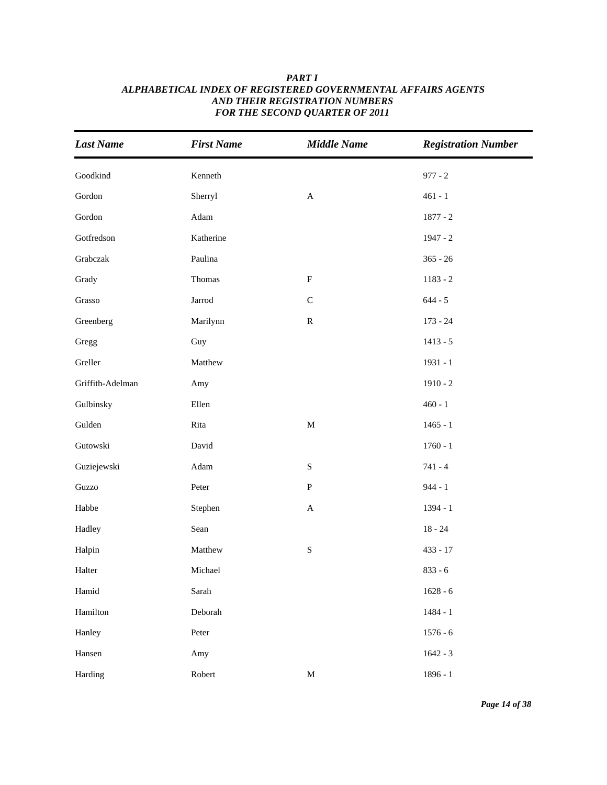| <b>Last Name</b> | <b>First Name</b>     | <b>Middle Name</b>        | <b>Registration Number</b> |
|------------------|-----------------------|---------------------------|----------------------------|
| Goodkind         | Kenneth               |                           | $977 - 2$                  |
| Gordon           | Sherryl               | $\boldsymbol{\mathsf{A}}$ | $461 - 1$                  |
| Gordon           | $\operatorname{Adam}$ |                           | $1877 - 2$                 |
| Gotfredson       | Katherine             |                           | $1947 - 2$                 |
| Grabczak         | Paulina               |                           | $365 - 26$                 |
| Grady            | Thomas                | $\mathbf F$               | $1183 - 2$                 |
| Grasso           | Jarrod                | $\mathsf C$               | $644 - 5$                  |
| Greenberg        | Marilynn              | ${\bf R}$                 | $173 - 24$                 |
| Gregg            | Guy                   |                           | $1413 - 5$                 |
| Greller          | Matthew               |                           | $1931 - 1$                 |
| Griffith-Adelman | Amy                   |                           | $1910 - 2$                 |
| Gulbinsky        | Ellen                 |                           | $460 - 1$                  |
| Gulden           | Rita                  | $\mathbf M$               | $1465 - 1$                 |
| Gutowski         | David                 |                           | $1760 - 1$                 |
| Guziejewski      | $\operatorname{Adam}$ | ${\bf S}$                 | $741 - 4$                  |
| Guzzo            | Peter                 | ${\bf P}$                 | $944 - 1$                  |
| Habbe            | Stephen               | $\boldsymbol{\mathsf{A}}$ | 1394 - 1                   |
| Hadley           | Sean                  |                           | $18 - 24$                  |
| Halpin           | Matthew               | ${\bf S}$                 | $433 - 17$                 |
| Halter           | Michael               |                           | $833 - 6$                  |
| Hamid            | Sarah                 |                           | $1628 - 6$                 |
| Hamilton         | Deborah               |                           | $1484 - 1$                 |
| Hanley           | Peter                 |                           | $1576 - 6$                 |
| Hansen           | Amy                   |                           | $1642 - 3$                 |
| Harding          | Robert                | $\mathbf M$               | $1896 - 1$                 |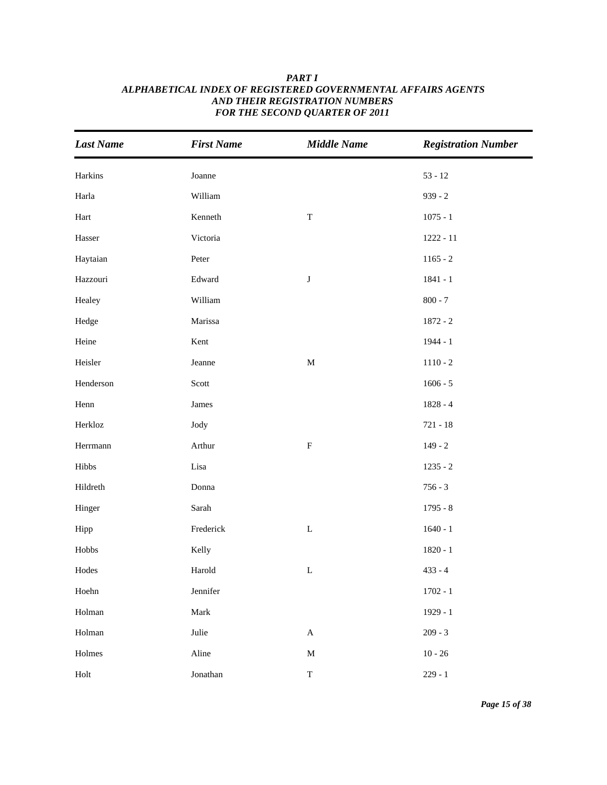| <b>Last Name</b> | <b>First Name</b> | <b>Middle Name</b>        | <b>Registration Number</b> |
|------------------|-------------------|---------------------------|----------------------------|
| Harkins          | Joanne            |                           | $53 - 12$                  |
| Harla            | William           |                           | $939 - 2$                  |
| Hart             | Kenneth           | $\mathbf T$               | $1075 - 1$                 |
| Hasser           | Victoria          |                           | $1222 - 11$                |
| Haytaian         | Peter             |                           | $1165 - 2$                 |
| Hazzouri         | Edward            | $\bf J$                   | $1841 - 1$                 |
| Healey           | William           |                           | $800 - 7$                  |
| Hedge            | Marissa           |                           | $1872 - 2$                 |
| Heine            | Kent              |                           | $1944 - 1$                 |
| Heisler          | Jeanne            | $\mathbf M$               | $1110 - 2$                 |
| Henderson        | Scott             |                           | $1606 - 5$                 |
| Henn             | James             |                           | $1828 - 4$                 |
| Herkloz          | Jody              |                           | $721 - 18$                 |
| Herrmann         | Arthur            | $\boldsymbol{\mathrm{F}}$ | $149 - 2$                  |
| Hibbs            | Lisa              |                           | $1235 - 2$                 |
| Hildreth         | Donna             |                           | $756 - 3$                  |
| Hinger           | Sarah             |                           | $1795 - 8$                 |
| Hipp             | Frederick         | $\mathbf L$               | $1640 - 1$                 |
| ${\rm Hobbs}$    | Kelly             |                           | $1820 - 1$                 |
| Hodes            | Harold            | $\mathbf L$               | $433 - 4$                  |
| Hoehn            | Jennifer          |                           | $1702 - 1$                 |
| Holman           | Mark              |                           | $1929 - 1$                 |
| Holman           | Julie             | $\boldsymbol{\mathsf{A}}$ | $209 - 3$                  |
| Holmes           | Aline             | $\mathbf M$               | $10 - 26$                  |
| Holt             | Jonathan          | $\mathbf T$               | $229 - 1$                  |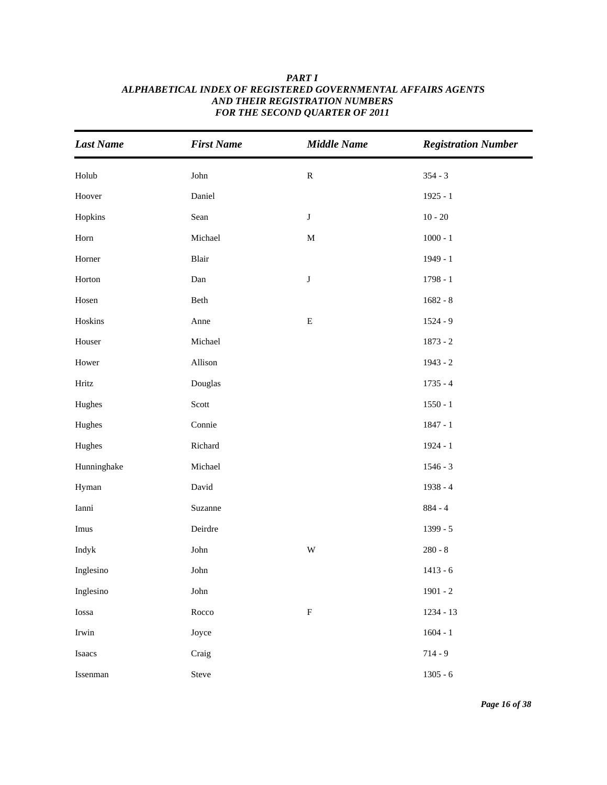| <b>Last Name</b>      | <b>First Name</b> | <b>Middle Name</b> | <b>Registration Number</b> |
|-----------------------|-------------------|--------------------|----------------------------|
| Holub                 | ${\rm John}$      | ${\bf R}$          | $354 - 3$                  |
| Hoover                | Daniel            |                    | $1925 - 1$                 |
| Hopkins               | Sean              | $\bf J$            | $10 - 20$                  |
| $\operatorname{Horn}$ | Michael           | $\mathbf M$        | $1000 - 1$                 |
| Horner                | Blair             |                    | 1949 - 1                   |
| Horton                | Dan               | $\bf J$            | $1798 - 1$                 |
| Hosen                 | Beth              |                    | $1682 - 8$                 |
| Hoskins               | Anne              | ${\bf E}$          | $1524 - 9$                 |
| Houser                | Michael           |                    | $1873 - 2$                 |
| Hower                 | Allison           |                    | $1943 - 2$                 |
| Hritz                 | Douglas           |                    | $1735 - 4$                 |
| Hughes                | Scott             |                    | $1550 - 1$                 |
| Hughes                | Connie            |                    | $1847 - 1$                 |
| Hughes                | Richard           |                    | $1924 - 1$                 |
| Hunninghake           | Michael           |                    | $1546 - 3$                 |
| Hyman                 | David             |                    | $1938 - 4$                 |
| Ianni                 | Suzanne           |                    | $884 - 4$                  |
| Imus                  | Deirdre           |                    | 1399 - 5                   |
| Indyk                 | John              | W                  | $280 - 8$                  |
| Inglesino             | John              |                    | $1413 - 6$                 |
| Inglesino             | ${\rm John}$      |                    | $1901 - 2$                 |
| Iossa                 | Rocco             | ${\bf F}$          | 1234 - 13                  |
| $I$ rwin              | Joyce             |                    | $1604 - 1$                 |
| Isaacs                | Craig             |                    | $714 - 9$                  |
| Issenman              | Steve             |                    | $1305 - 6$                 |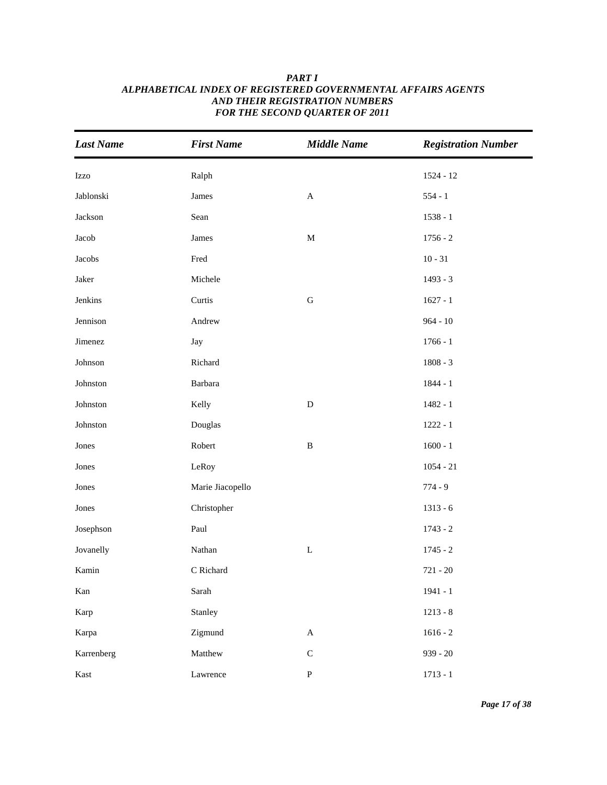| <b>Last Name</b> | <b>First Name</b> | <b>Middle Name</b>    | <b>Registration Number</b> |
|------------------|-------------------|-----------------------|----------------------------|
| Izzo             | Ralph             |                       | $1524 - 12$                |
| Jablonski        | James             | $\boldsymbol{\rm{A}}$ | $554 - 1$                  |
| Jackson          | Sean              |                       | $1538 - 1$                 |
| Jacob            | James             | $\mathbf M$           | $1756 - 2$                 |
| Jacobs           | Fred              |                       | $10 - 31$                  |
| Jaker            | Michele           |                       | $1493 - 3$                 |
| Jenkins          | Curtis            | ${\bf G}$             | $1627 - 1$                 |
| Jennison         | Andrew            |                       | $964 - 10$                 |
| Jimenez          | Jay               |                       | $1766 - 1$                 |
| Johnson          | Richard           |                       | $1808 - 3$                 |
| Johnston         | Barbara           |                       | $1844 - 1$                 |
| Johnston         | Kelly             | ${\bf D}$             | $1482 - 1$                 |
| Johnston         | Douglas           |                       | $1222 - 1$                 |
| Jones            | Robert            | $\, {\bf B}$          | $1600 - 1$                 |
| Jones            | LeRoy             |                       | $1054 - 21$                |
| Jones            | Marie Jiacopello  |                       | $774 - 9$                  |
| Jones            | Christopher       |                       | $1313 - 6$                 |
| Josephson        | Paul              |                       | $1743 - 2$                 |
| Jovanelly        | Nathan            | $\mathbf L$           | $1745 - 2$                 |
| Kamin            | C Richard         |                       | $721 - 20$                 |
| Kan              | Sarah             |                       | $1941 - 1$                 |
| Karp             | Stanley           |                       | $1213 - 8$                 |
| Karpa            | Zigmund           | $\mathbf A$           | $1616 - 2$                 |
| Karrenberg       | Matthew           | ${\bf C}$             | $939 - 20$                 |
| Kast             | Lawrence          | ${\bf P}$             | $1713 - 1$                 |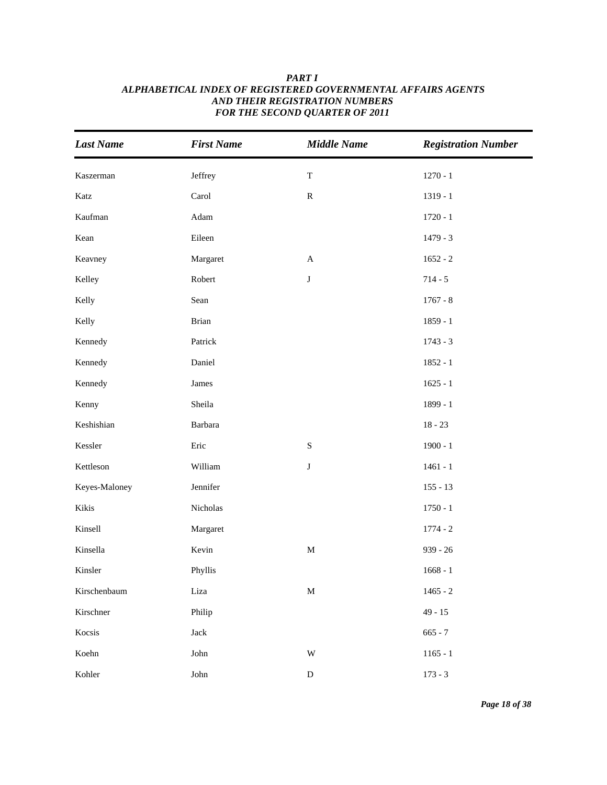| <b>Last Name</b> | <b>First Name</b> | <b>Middle Name</b> | <b>Registration Number</b> |
|------------------|-------------------|--------------------|----------------------------|
|                  |                   |                    |                            |
| Kaszerman        | Jeffrey           | $\mathbf T$        | $1270 - 1$                 |
| Katz             | Carol             | ${\bf R}$          | $1319 - 1$                 |
| Kaufman          | Adam              |                    | $1720 - 1$                 |
| Kean             | Eileen            |                    | $1479 - 3$                 |
| Keavney          | Margaret          | $\mathbf{A}$       | $1652 - 2$                 |
| Kelley           | Robert            | $\bf J$            | $714 - 5$                  |
| Kelly            | Sean              |                    | $1767 - 8$                 |
| Kelly            | Brian             |                    | $1859 - 1$                 |
| Kennedy          | Patrick           |                    | $1743 - 3$                 |
| Kennedy          | Daniel            |                    | $1852 - 1$                 |
| Kennedy          | James             |                    | $1625 - 1$                 |
| Kenny            | Sheila            |                    | 1899 - 1                   |
| Keshishian       | Barbara           |                    | $18 - 23$                  |
| Kessler          | Eric              | ${\bf S}$          | $1900 - 1$                 |
| Kettleson        | William           | J                  | $1461 - 1$                 |
| Keyes-Maloney    | Jennifer          |                    | $155 - 13$                 |
| Kikis            | Nicholas          |                    | $1750 - 1$                 |
| Kinsell          | Margaret          |                    | $1774 - 2$                 |
| Kinsella         | Kevin             | $\mathbf M$        | $939 - 26$                 |
| Kinsler          | Phyllis           |                    | $1668 - 1$                 |
| Kirschenbaum     | Liza              | $\mathbf M$        | $1465 - 2$                 |
| Kirschner        | Philip            |                    | $49 - 15$                  |
| Kocsis           | Jack              |                    | $665 - 7$                  |
| Koehn            | ${\rm John}$      | $\mathbf W$        | $1165 - 1$                 |
| Kohler           | John              | $\mathbf D$        | $173 - 3$                  |

*Page 18 of 38*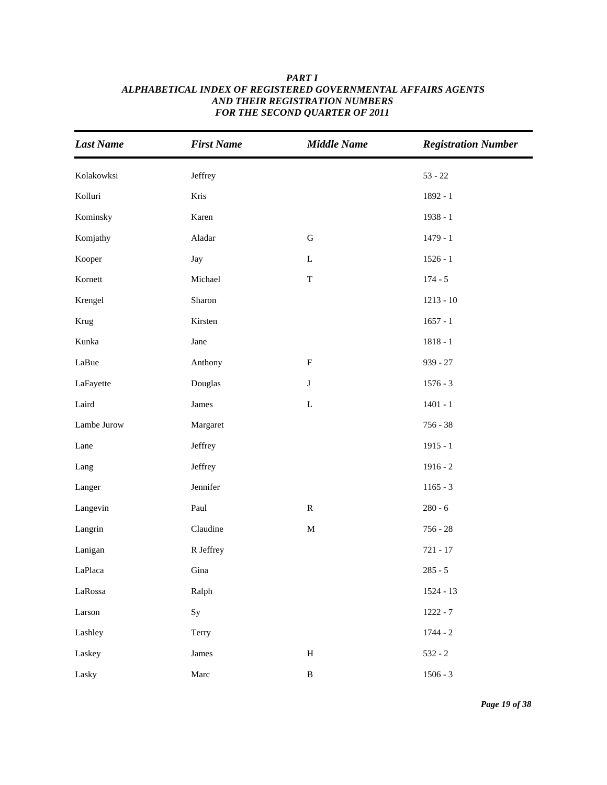# *Last Name First Name Middle Name Registration Number* Kolakowksi Jeffrey 53 - 22 Kolluri Kris 1892 - 1 Kominsky Karen 1938 - 1 Komjathy Aladar G 1479 - 1 Kooper Jay Jay L 1526 - 1 Kornett Michael T 174 - 5 Krengel Sharon Sharon 1213 - 10 Krug Kirsten 1657 - 1 Kunka 1818 - 1 LaBue **Anthony F** 939 - 27 LaFayette Douglas J 1576 - 3 Laird **L** 1401 - 1 Lambe Jurow Margaret 756 - 38 Lane Jeffrey Jeffrey 1915 - 1 Lang Jeffrey **1916 - 2** Langer 1165 - 3 Jennifer 1165 - 3 Jennifer 1165 - 3 Jennifer 1165 - 3 Jennifer 1165 - 3 Jennifer 1165 - 3 Jennifer 1165 - 3 Jennifer 1165 - 3 Jennifer 1165 - 3 Jennifer 1165 - 3 Jennifer 1165 - 3 Jennifer 1165 - 3 Jennifer Langevin Paul R 280 - 6 Langrin Claudine M 756 - 28 Lanigan R Jeffrey 721 - 17 LaPlaca 285 - 5 Gina 285 - 5 Gina 285 - 5 Gina 285 - 5 Gina 285 - 5 Gina 285 - 5 Gina 285 - 5 Gina 285 - 5 Gina LaRossa Ralph 1524 - 13  $Larson$  Sy Sy  $1222 - 7$

Lashley **Terry Terry 1744 - 2** 

Laskey **James** H 532 - 2

Lasky Marc B 1506 - 3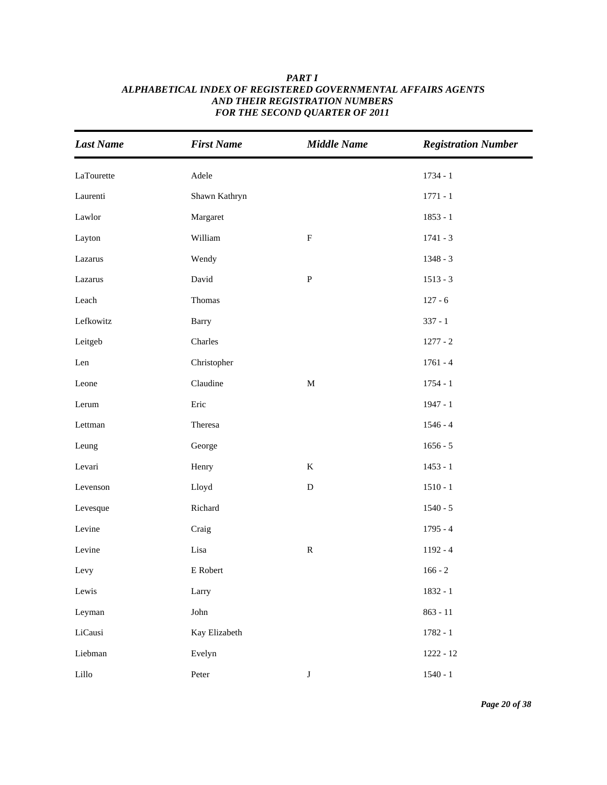| <b>Last Name</b> | <b>First Name</b> | <b>Middle Name</b> | <b>Registration Number</b> |
|------------------|-------------------|--------------------|----------------------------|
| LaTourette       | Adele             |                    | $1734 - 1$                 |
| Laurenti         | Shawn Kathryn     |                    | $1771 - 1$                 |
| Lawlor           | Margaret          |                    | $1853 - 1$                 |
| Layton           | William           | $\mathbf F$        | $1741 - 3$                 |
| Lazarus          | Wendy             |                    | $1348 - 3$                 |
| Lazarus          | David             | ${\bf P}$          | $1513 - 3$                 |
| Leach            | Thomas            |                    | $127 - 6$                  |
| Lefkowitz        | Barry             |                    | $337 - 1$                  |
| Leitgeb          | Charles           |                    | $1277 - 2$                 |
| Len              | Christopher       |                    | $1761 - 4$                 |
| Leone            | Claudine          | $\mathbf M$        | $1754 - 1$                 |
| Lerum            | Eric              |                    | $1947 - 1$                 |
| Lettman          | Theresa           |                    | $1546 - 4$                 |
| Leung            | George            |                    | $1656 - 5$                 |
| Levari           | Henry             | $\bf K$            | $1453 - 1$                 |
| Levenson         | Lloyd             | ${\bf D}$          | $1510 - 1$                 |
| Levesque         | Richard           |                    | $1540 - 5$                 |
| Levine           | Craig             |                    | $1795 - 4$                 |
| Levine           | Lisa              | ${\bf R}$          | $1192 - 4$                 |
| Levy             | E Robert          |                    | $166 - 2$                  |
| Lewis            | Larry             |                    | 1832 - 1                   |
| Leyman           | John              |                    | $863 - 11$                 |
| LiCausi          | Kay Elizabeth     |                    | $1782 - 1$                 |
| Liebman          | Evelyn            |                    | $1222 - 12$                |
| Lillo            | Peter             | $\bf J$            | $1540 - 1$                 |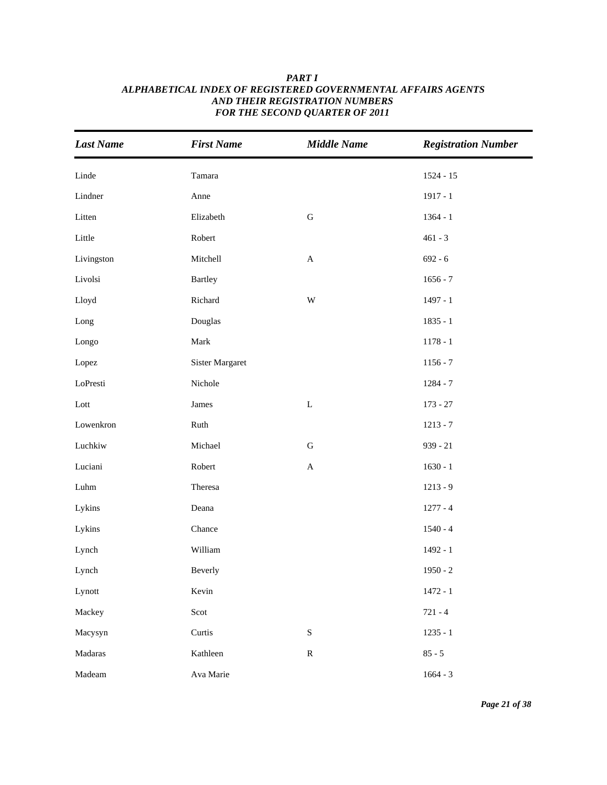| <b>Last Name</b> | <b>First Name</b>      | <b>Middle Name</b>      | <b>Registration Number</b> |
|------------------|------------------------|-------------------------|----------------------------|
| Linde            | Tamara                 |                         | $1524 - 15$                |
| Lindner          | Anne                   |                         | $1917 - 1$                 |
| Litten           | Elizabeth              | ${\bf G}$               | $1364 - 1$                 |
| Little           | Robert                 |                         | $461 - 3$                  |
| Livingston       | Mitchell               | $\mathbf A$             | $692 - 6$                  |
| Livolsi          | <b>Bartley</b>         |                         | $1656 - 7$                 |
| Lloyd            | Richard                | $\ensuremath{\text{W}}$ | $1497 - 1$                 |
| Long             | Douglas                |                         | $1835 - 1$                 |
| Longo            | Mark                   |                         | $1178 - 1$                 |
| Lopez            | <b>Sister Margaret</b> |                         | $1156 - 7$                 |
| LoPresti         | Nichole                |                         | $1284 - 7$                 |
| $_{\rm Lott}$    | James                  | $\mathbf L$             | $173 - 27$                 |
| Lowenkron        | Ruth                   |                         | $1213 - 7$                 |
| Luchkiw          | Michael                | ${\bf G}$               | $939 - 21$                 |
| Luciani          | Robert                 | $\mathbf A$             | $1630 - 1$                 |
| ${\rm Luhn}$     | Theresa                |                         | $1213 - 9$                 |
| Lykins           | Deana                  |                         | $1277 - 4$                 |
| Lykins           | Chance                 |                         | $1540 - 4$                 |
| Lynch            | William                |                         | 1492 - 1                   |
| Lynch            | Beverly                |                         | $1950 - 2$                 |
| Lynott           | Kevin                  |                         | $1472 - 1$                 |
| Mackey           | Scot                   |                         | $721 - 4$                  |
| Macysyn          | Curtis                 | ${\bf S}$               | $1235 - 1$                 |
| Madaras          | Kathleen               | ${\bf R}$               | $85 - 5$                   |
| Madeam           | Ava Marie              |                         | $1664 - 3$                 |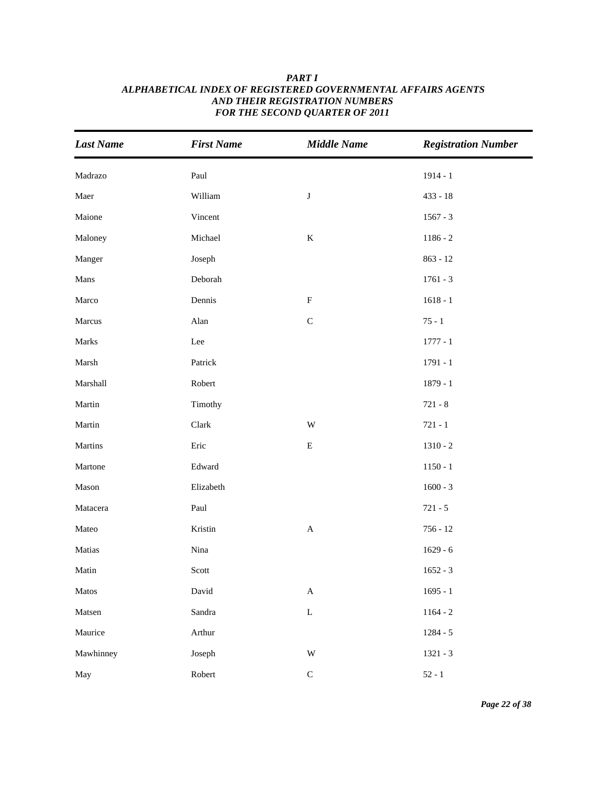| <b>Last Name</b> | <b>First Name</b> | <b>Middle Name</b>        | <b>Registration Number</b> |
|------------------|-------------------|---------------------------|----------------------------|
| Madrazo          | Paul              |                           | $1914 - 1$                 |
| Maer             | William           | $\bf J$                   | $433 - 18$                 |
| Maione           | Vincent           |                           | $1567 - 3$                 |
| Maloney          | Michael           | $\bf K$                   | $1186 - 2$                 |
| Manger           | Joseph            |                           | $863 - 12$                 |
| Mans             | Deborah           |                           | $1761 - 3$                 |
| Marco            | Dennis            | $\boldsymbol{\mathrm{F}}$ | $1618 - 1$                 |
| Marcus           | Alan              | $\mathsf{C}$              | $75 - 1$                   |
| Marks            | Lee               |                           | $1777 - 1$                 |
| Marsh            | Patrick           |                           | $1791 - 1$                 |
| Marshall         | Robert            |                           | $1879 - 1$                 |
| Martin           | Timothy           |                           | $721 - 8$                  |
| Martin           | Clark             | W                         | $721 - 1$                  |
| Martins          | Eric              | ${\bf E}$                 | $1310 - 2$                 |
| Martone          | Edward            |                           | $1150 - 1$                 |
| Mason            | Elizabeth         |                           | $1600 - 3$                 |
| Matacera         | Paul              |                           | $721 - 5$                  |
| Mateo            | Kristin           | $\mathbf A$               | $756 - 12$                 |
| Matias           | Nina              |                           | $1629 - 6$                 |
| Matin            | Scott             |                           | $1652 - 3$                 |
| Matos            | David             | $\boldsymbol{\mathsf{A}}$ | $1695 - 1$                 |
| Matsen           | Sandra            | $\mathbf L$               | $1164 - 2$                 |
| Maurice          | Arthur            |                           | $1284 - 5$                 |
| Mawhinney        | Joseph            | $\ensuremath{\text{W}}$   | $1321 - 3$                 |
| May              | Robert            | $\mathsf C$               | $52 - 1$                   |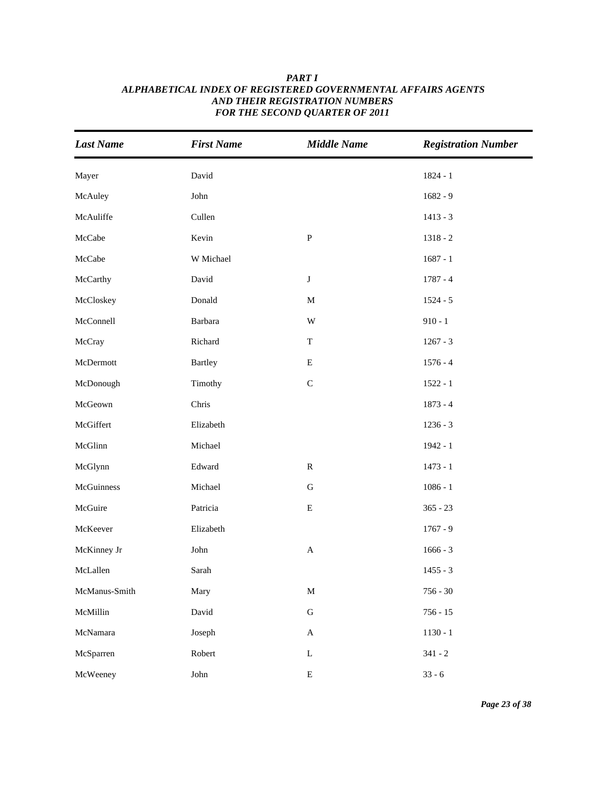| <b>Last Name</b> | <b>First Name</b> | <b>Middle Name</b>        | <b>Registration Number</b> |
|------------------|-------------------|---------------------------|----------------------------|
| Mayer            | David             |                           | $1824 - 1$                 |
| McAuley          | John              |                           | $1682 - 9$                 |
| McAuliffe        | Cullen            |                           | $1413 - 3$                 |
| McCabe           | Kevin             | ${\bf P}$                 | $1318 - 2$                 |
| McCabe           | W Michael         |                           | $1687 - 1$                 |
| McCarthy         | David             | J                         | $1787 - 4$                 |
| McCloskey        | Donald            | M                         | $1524 - 5$                 |
| McConnell        | Barbara           | W                         | $910 - 1$                  |
| McCray           | Richard           | T                         | $1267 - 3$                 |
| McDermott        | <b>Bartley</b>    | E                         | $1576 - 4$                 |
| McDonough        | Timothy           | $\mathbf C$               | $1522 - 1$                 |
| McGeown          | Chris             |                           | $1873 - 4$                 |
| McGiffert        | Elizabeth         |                           | $1236 - 3$                 |
| McGlinn          | Michael           |                           | $1942 - 1$                 |
| McGlynn          | Edward            | $\mathbf R$               | $1473 - 1$                 |
| McGuinness       | Michael           | ${\bf G}$                 | $1086 - 1$                 |
| McGuire          | Patricia          | ${\bf E}$                 | $365 - 23$                 |
| McKeever         | Elizabeth         |                           | $1767 - 9$                 |
| McKinney Jr      | John              | $\boldsymbol{\mathsf{A}}$ | $1666 - 3$                 |
| McLallen         | Sarah             |                           | $1455 - 3$                 |
| McManus-Smith    | Mary              | $\mathbf M$               | $756 - 30$                 |
| McMillin         | David             | ${\bf G}$                 | $756 - 15$                 |
| McNamara         | Joseph            | $\mathbf A$               | $1130 - 1$                 |
| McSparren        | Robert            | $\mathbf L$               | $341 - 2$                  |
| McWeeney         | John              | ${\bf E}$                 | $33 - 6$                   |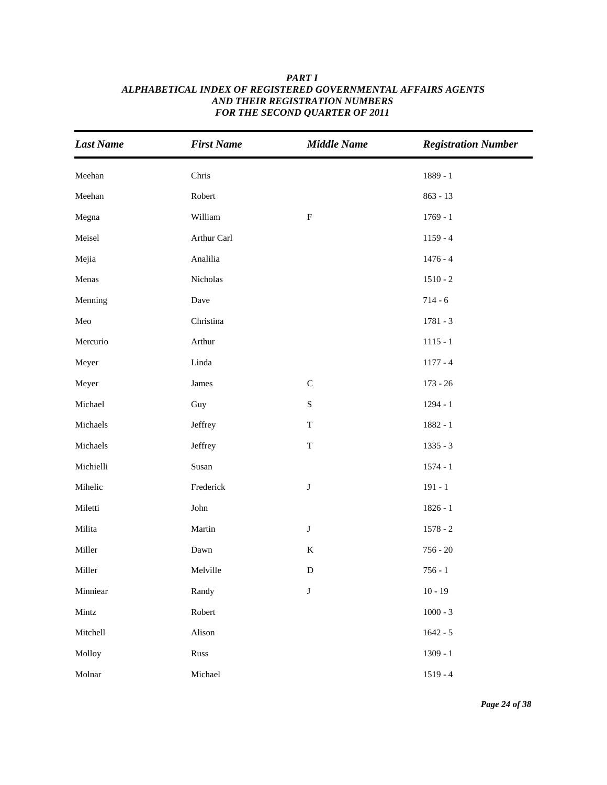| <b>Last Name</b> | <b>First Name</b> | <b>Middle Name</b> | <b>Registration Number</b> |
|------------------|-------------------|--------------------|----------------------------|
| Meehan           | Chris             |                    | 1889 - 1                   |
| Meehan           | Robert            |                    | $863 - 13$                 |
| Megna            | William           | $\rm F$            | $1769 - 1$                 |
| Meisel           | Arthur Carl       |                    | $1159 - 4$                 |
| Mejia            | Analilia          |                    | $1476 - 4$                 |
| Menas            | Nicholas          |                    | $1510 - 2$                 |
| Menning          | Dave              |                    | $714 - 6$                  |
| Meo              | Christina         |                    | $1781 - 3$                 |
| Mercurio         | Arthur            |                    | $1115 - 1$                 |
| Meyer            | Linda             |                    | $1177 - 4$                 |
| Meyer            | James             | $\mathbf C$        | $173 - 26$                 |
| Michael          | Guy               | ${\bf S}$          | $1294 - 1$                 |
| Michaels         | Jeffrey           | $\mathbf T$        | 1882 - 1                   |
| Michaels         | Jeffrey           | $\mathbf T$        | $1335 - 3$                 |
| Michielli        | Susan             |                    | $1574 - 1$                 |
| Mihelic          | Frederick         | $\bf J$            | $191 - 1$                  |
| Miletti          | John              |                    | $1826 - 1$                 |
| Milita           | Martin            | $\bf J$            | $1578 - 2$                 |
| Miller           | Dawn              | $\bf K$            | $756 - 20$                 |
| Miller           | Melville          | ${\bf D}$          | $756 - 1$                  |
| Minniear         | Randy             | $\bf J$            | $10 - 19$                  |
| Mintz            | Robert            |                    | $1000 - 3$                 |
| Mitchell         | Alison            |                    | $1642 - 5$                 |
| Molloy           | Russ              |                    | $1309 - 1$                 |
| Molnar           | Michael           |                    | $1519 - 4$                 |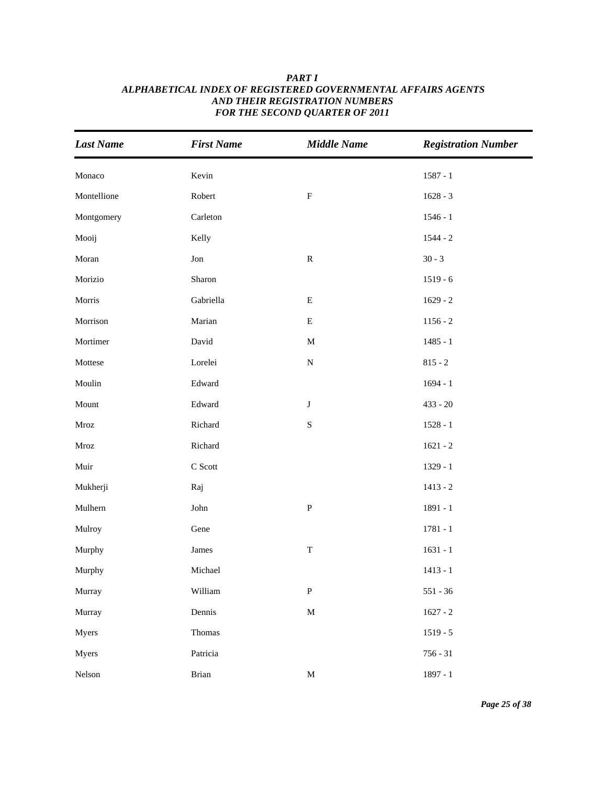| <b>Last Name</b>      | <b>First Name</b> | <b>Middle Name</b> | <b>Registration Number</b> |
|-----------------------|-------------------|--------------------|----------------------------|
| Monaco                | Kevin             |                    | $1587 - 1$                 |
| Montellione           | Robert            | $\mathbf F$        | $1628 - 3$                 |
| Montgomery            | Carleton          |                    | $1546 - 1$                 |
| Mooij                 | Kelly             |                    | $1544 - 2$                 |
| Moran                 | $_{\rm Jon}$      | ${\bf R}$          | $30 - 3$                   |
| Morizio               | Sharon            |                    | $1519 - 6$                 |
| Morris                | Gabriella         | ${\bf E}$          | $1629 - 2$                 |
| Morrison              | Marian            | ${\bf E}$          | $1156 - 2$                 |
| Mortimer              | David             | $\mathbf M$        | $1485 - 1$                 |
| Mottese               | Lorelei           | ${\bf N}$          | $815 - 2$                  |
| Moulin                | Edward            |                    | $1694 - 1$                 |
| Mount                 | Edward            | $\bf J$            | $433 - 20$                 |
| $\operatorname{Mroz}$ | Richard           | ${\bf S}$          | $1528 - 1$                 |
| Mroz                  | Richard           |                    | $1621 - 2$                 |
| Muir                  | C Scott           |                    | $1329 - 1$                 |
| Mukherji              | Raj               |                    | $1413 - 2$                 |
| Mulhern               | John              | ${\bf P}$          | 1891 - 1                   |
| Mulroy                | Gene              |                    | $1781 - 1$                 |
| Murphy                | James             | $\mathbf T$        | $1631 - 1$                 |
| Murphy                | Michael           |                    | $1413 - 1$                 |
| Murray                | William           | ${\bf P}$          | $551 - 36$                 |
| Murray                | Dennis            | $\mathbf M$        | $1627 - 2$                 |
| Myers                 | Thomas            |                    | $1519 - 5$                 |
| Myers                 | Patricia          |                    | $756 - 31$                 |
| Nelson                | Brian             | $\mathbf M$        | $1897 - 1$                 |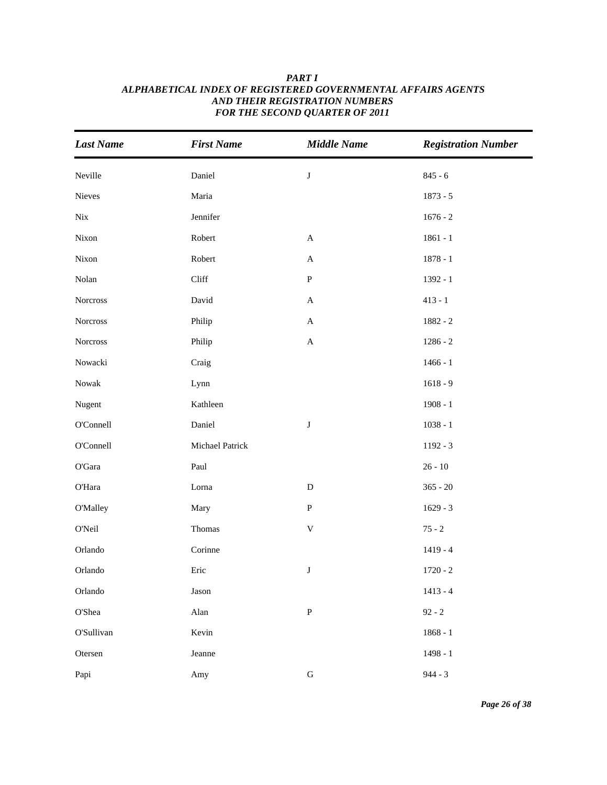| <b>Last Name</b> | <b>First Name</b> | <b>Middle Name</b>        | <b>Registration Number</b> |
|------------------|-------------------|---------------------------|----------------------------|
| Neville          | Daniel            | J                         | $845 - 6$                  |
| Nieves           | Maria             |                           | $1873 - 5$                 |
| Nix              | Jennifer          |                           | $1676 - 2$                 |
| Nixon            | Robert            | $\mathbf A$               | $1861 - 1$                 |
| Nixon            | Robert            | $\mathbf{A}$              | $1878 - 1$                 |
| Nolan            | Cliff             | ${\bf P}$                 | 1392 - 1                   |
| Norcross         | David             | $\mathbf{A}$              | $413 - 1$                  |
| Norcross         | Philip            | $\mathbf A$               | $1882 - 2$                 |
| Norcross         | Philip            | $\mathbf A$               | $1286 - 2$                 |
| Nowacki          | Craig             |                           | $1466 - 1$                 |
| Nowak            | Lynn              |                           | $1618 - 9$                 |
| Nugent           | Kathleen          |                           | $1908 - 1$                 |
| O'Connell        | Daniel            | J                         | $1038 - 1$                 |
| O'Connell        | Michael Patrick   |                           | $1192 - 3$                 |
| $\rm O'Gara$     | Paul              |                           | $26 - 10$                  |
| O'Hara           | Lorna             | ${\bf D}$                 | $365 - 20$                 |
| <b>O'Malley</b>  | Mary              | ${\bf P}$                 | $1629 - 3$                 |
| O'Neil           | Thomas            | $\ensuremath{\mathsf{V}}$ | $75 - 2$                   |
| Orlando          | Corinne           |                           | $1419 - 4$                 |
| Orlando          | Eric              | J                         | $1720 - 2$                 |
| Orlando          | Jason             |                           | $1413 - 4$                 |
| O'Shea           | $\!$ Alan         | ${\bf P}$                 | $92 - 2$                   |
| O'Sullivan       | Kevin             |                           | $1868 - 1$                 |
| Otersen          | Jeanne            |                           | $1498 - 1$                 |
| Papi             | Amy               | ${\bf G}$                 | $944 - 3$                  |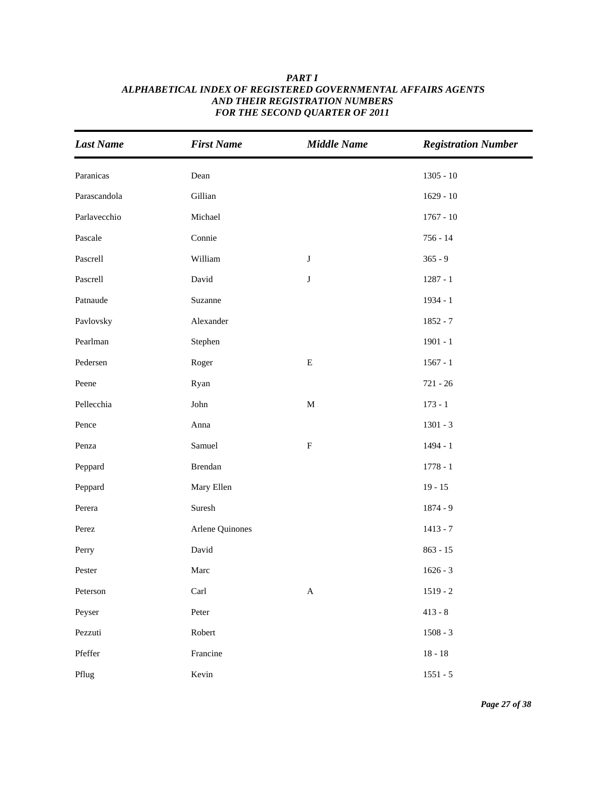| <b>Last Name</b> | <b>First Name</b> | <b>Middle Name</b>        | <b>Registration Number</b> |
|------------------|-------------------|---------------------------|----------------------------|
| Paranicas        | Dean              |                           | $1305 - 10$                |
| Parascandola     | Gillian           |                           | $1629 - 10$                |
| Parlavecchio     | Michael           |                           | $1767 - 10$                |
| Pascale          | Connie            |                           | $756 - 14$                 |
| Pascrell         | William           | $\bf J$                   | $365 - 9$                  |
| Pascrell         | David             | $\bf J$                   | $1287 - 1$                 |
| Patnaude         | Suzanne           |                           | $1934 - 1$                 |
| Pavlovsky        | Alexander         |                           | $1852 - 7$                 |
| Pearlman         | Stephen           |                           | $1901 - 1$                 |
| Pedersen         | Roger             | ${\bf E}$                 | $1567 - 1$                 |
| Peene            | Ryan              |                           | $721 - 26$                 |
| Pellecchia       | John              | $\mathbf M$               | $173 - 1$                  |
| Pence            | Anna              |                           | $1301 - 3$                 |
| Penza            | Samuel            | ${\bf F}$                 | $1494 - 1$                 |
| Peppard          | Brendan           |                           | $1778 - 1$                 |
| Peppard          | Mary Ellen        |                           | $19 - 15$                  |
| Perera           | Suresh            |                           | $1874 - 9$                 |
| Perez            | Arlene Quinones   |                           | $1413 - 7$                 |
| Perry            | David             |                           | $863 - 15$                 |
| Pester           | Marc              |                           | $1626 - 3$                 |
| Peterson         | Carl              | $\boldsymbol{\mathsf{A}}$ | $1519 - 2$                 |
| Peyser           | Peter             |                           | $413 - 8$                  |
| Pezzuti          | Robert            |                           | $1508 - 3$                 |
| Pfeffer          | Francine          |                           | $18 - 18$                  |
| Pflug            | Kevin             |                           | $1551 - 5$                 |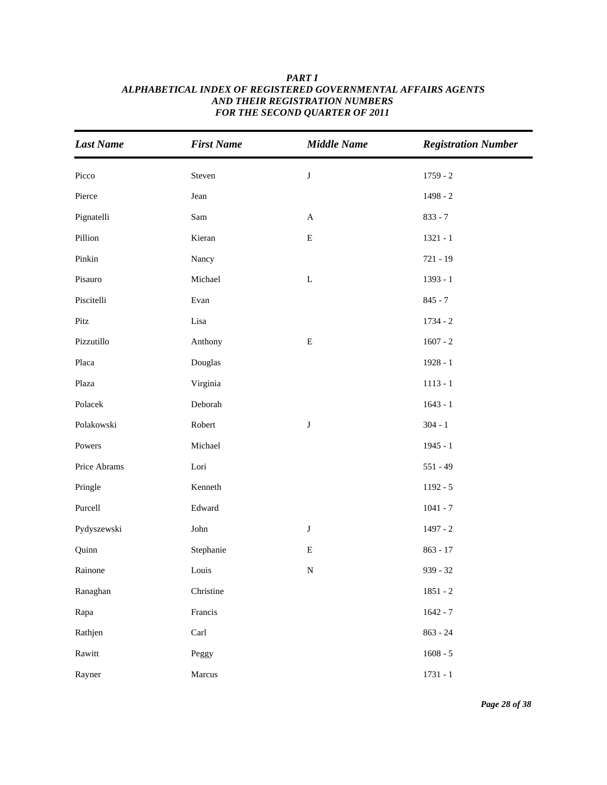| <b>Last Name</b> | <b>First Name</b> | <b>Middle Name</b> | <b>Registration Number</b> |
|------------------|-------------------|--------------------|----------------------------|
| Picco            | Steven            | $\bf J$            | $1759 - 2$                 |
| Pierce           | Jean              |                    | 1498 - 2                   |
| Pignatelli       | Sam               | $\mathbf A$        | $833 - 7$                  |
| Pillion          | Kieran            | ${\bf E}$          | $1321 - 1$                 |
| Pinkin           | Nancy             |                    | 721 - 19                   |
| Pisauro          | Michael           | $\mathbf L$        | $1393 - 1$                 |
| Piscitelli       | Evan              |                    | $845 - 7$                  |
| Pitz             | Lisa              |                    | $1734 - 2$                 |
| Pizzutillo       | Anthony           | ${\bf E}$          | $1607 - 2$                 |
| Placa            | Douglas           |                    | 1928 - 1                   |
| Plaza            | Virginia          |                    | $1113 - 1$                 |
| Polacek          | Deborah           |                    | $1643 - 1$                 |
| Polakowski       | Robert            | J                  | $304 - 1$                  |
| Powers           | Michael           |                    | $1945 - 1$                 |
| Price Abrams     | Lori              |                    | $551 - 49$                 |
| Pringle          | Kenneth           |                    | $1192 - 5$                 |
| Purcell          | Edward            |                    | $1041 - 7$                 |
| Pydyszewski      | ${\rm John}$      | J                  | $1497 - 2$                 |
| Quinn            | Stephanie         | E                  | $863 - 17$                 |
| Rainone          | Louis             | ${\bf N}$          | $939 - 32$                 |
| Ranaghan         | Christine         |                    | $1851 - 2$                 |
| Rapa             | Francis           |                    | $1642 - 7$                 |
| Rathjen          | Carl              |                    | $863 - 24$                 |
| Rawitt           | Peggy             |                    | $1608 - 5$                 |
| Rayner           | Marcus            |                    | $1731 - 1$                 |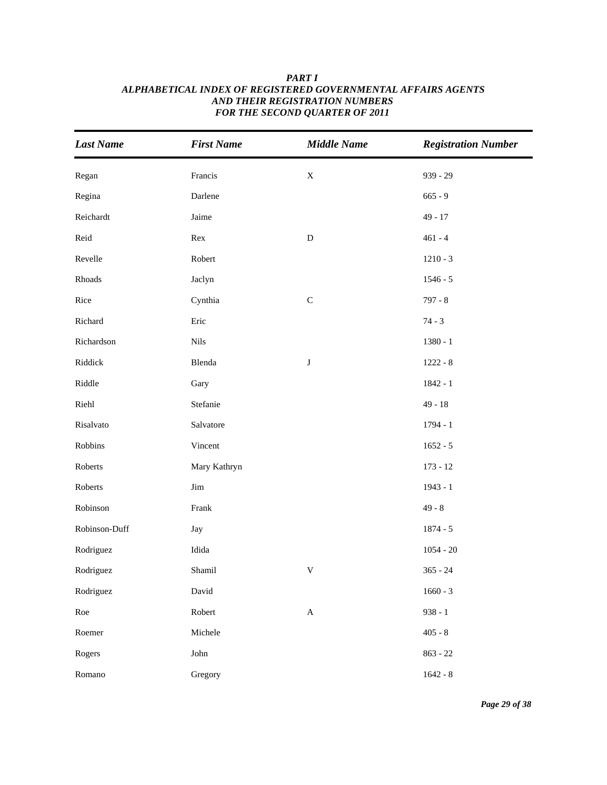## *Last Name First Name Middle Name Registration Number* Regan **Francis** Francis X 939 - 29 Regina 665 - 9 Darlene 665 - 9 Darlene 665 - 9 Darlene 665 - 9 Darlene 665 - 9 Darlene 665 - 9 Darlene 665 - 9 Reichardt **Jaime 19** - 17 Reid Rex  $Rex$  D  $461 - 4$ Revelle Robert Robert 1210 - 3 Rhoads 5 act 5 act 5 act 5 act 5 act 5 act 5 act 5 act 5 act 5 act 5 act 5 act 5 act 5 act 5 act 5 act 5 act 5 act 5 act 5 act 5 act 5 act 5 act 5 act 5 act 5 act 5 act 5 act 5 act 5 act 5 act 5 act 5 act 5 act 5 act 5 act Rice Cynthia C C 797 - 8 Richard **Eric** Eric **Richard** 74 - 3 Richardson 1380 - 1 Riddick Blenda J 1222 - 8 Riddle Gary Gary 1842 - 1 Riehl Stefanie 49 - 18 Risalvato Salvatore 1794 - 1 Robbins Vincent 1652 - 5 Roberts Mary Kathryn 173 - 12 Roberts Jim 1943 - 1 Robinson **Frank 1998** Robinson-Duff Jay Jay 1874 - 5 Rodriguez Idida 1054 - 20 Rodriguez Shamil V 365 - 24 Rodriguez David David 2008 - 3 2008 1660 - 3 Roe Robert A 938 - 1 Roemer Michele 405 - 8 Rogers 363 - 22 Romano Gregory 1642 - 8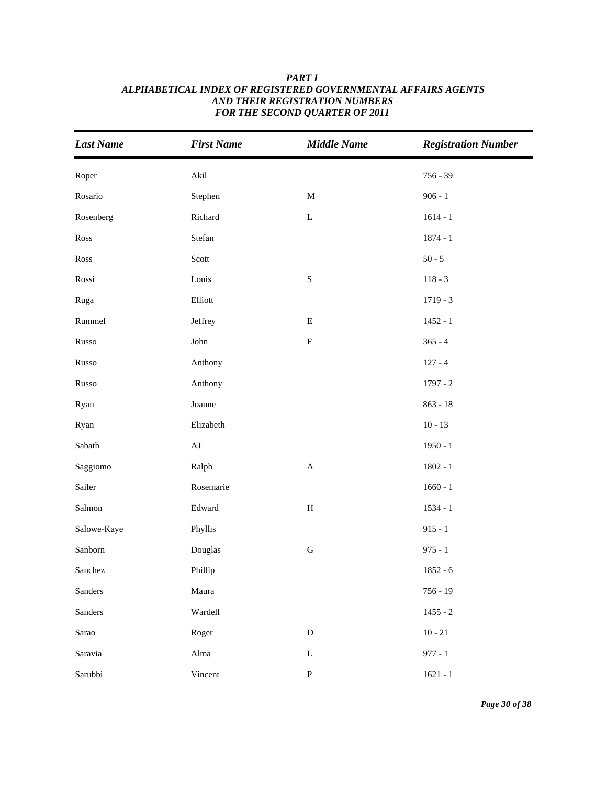| <b>Last Name</b> | <b>First Name</b> | <b>Middle Name</b>        | <b>Registration Number</b> |
|------------------|-------------------|---------------------------|----------------------------|
| Roper            | Akil              |                           | $756 - 39$                 |
| Rosario          | Stephen           | $\mathbf M$               | $906 - 1$                  |
| Rosenberg        | Richard           | $\mathbf L$               | $1614 - 1$                 |
| Ross             | Stefan            |                           | $1874 - 1$                 |
| Ross             | Scott             |                           | $50 - 5$                   |
| Rossi            | Louis             | $\mathbf S$               | $118 - 3$                  |
| Ruga             | Elliott           |                           | $1719 - 3$                 |
| Rummel           | Jeffrey           | ${\bf E}$                 | $1452 - 1$                 |
| Russo            | ${\rm John}$      | ${\bf F}$                 | $365 - 4$                  |
| Russo            | Anthony           |                           | $127 - 4$                  |
| Russo            | Anthony           |                           | $1797 - 2$                 |
| Ryan             | Joanne            |                           | $863 - 18$                 |
| Ryan             | Elizabeth         |                           | $10 - 13$                  |
| Sabath           | $\rm AJ$          |                           | $1950 - 1$                 |
| Saggiomo         | Ralph             | $\boldsymbol{\mathsf{A}}$ | $1802 - 1$                 |
| Sailer           | Rosemarie         |                           | $1660 - 1$                 |
| Salmon           | Edward            | $\, {\rm H}$              | $1534 - 1$                 |
| Salowe-Kaye      | Phyllis           |                           | $915 - 1$                  |
| Sanborn          | Douglas           | ${\bf G}$                 | $975 - 1$                  |
| Sanchez          | Phillip           |                           | $1852 - 6$                 |
| Sanders          | Maura             |                           | $756 - 19$                 |
| Sanders          | Wardell           |                           | $1455 - 2$                 |
| Sarao            | Roger             | ${\rm D}$                 | $10 - 21$                  |
| Saravia          | Alma              | $\mathbf L$               | $977 - 1$                  |
| Sarubbi          | Vincent           | ${\bf P}$                 | $1621 - 1$                 |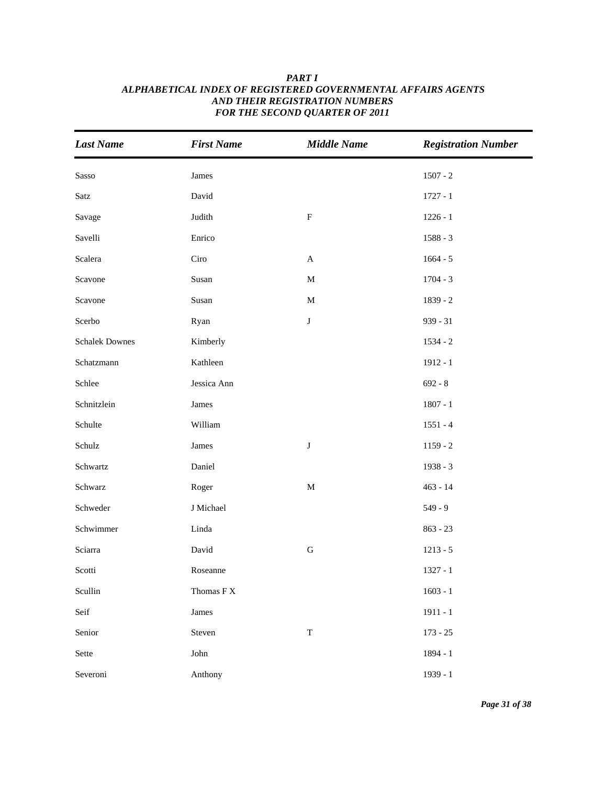| <b>Last Name</b>      | <b>First Name</b>                   | <b>Middle Name</b> | <b>Registration Number</b> |
|-----------------------|-------------------------------------|--------------------|----------------------------|
| Sasso                 | James                               |                    | $1507 - 2$                 |
| Satz                  | David                               |                    | $1727 - 1$                 |
| Savage                | Judith                              | $\mathbf F$        | $1226 - 1$                 |
| Savelli               | Enrico                              |                    | $1588 - 3$                 |
| Scalera               | Ciro                                | $\mathbf{A}$       | $1664 - 5$                 |
| Scavone               | Susan                               | $\mathbf M$        | $1704 - 3$                 |
| Scavone               | Susan                               | $\mathbf M$        | 1839 - 2                   |
| Scerbo                | Ryan                                | $\bf J$            | $939 - 31$                 |
| <b>Schalek Downes</b> | Kimberly                            |                    | $1534 - 2$                 |
| Schatzmann            | Kathleen                            |                    | $1912 - 1$                 |
| Schlee                | Jessica Ann                         |                    | $692 - 8$                  |
| Schnitzlein           | James                               |                    | $1807 - 1$                 |
| Schulte               | William                             |                    | $1551 - 4$                 |
| Schulz                | James                               | $\bf J$            | $1159 - 2$                 |
| Schwartz              | Daniel                              |                    | 1938 - 3                   |
| Schwarz               | Roger                               | $\mathbf M$        | $463 - 14$                 |
| Schweder              | J Michael                           |                    | $549 - 9$                  |
| Schwimmer             | Linda                               |                    | $863 - 23$                 |
| Sciarra               | David                               | ${\bf G}$          | $1213 - 5$                 |
| Scotti                | Roseanne                            |                    | $1327 - 1$                 |
| Scullin               | Thomas $\mathcal{F} \, \mathcal{X}$ |                    | $1603 - 1$                 |
| Seif                  | James                               |                    | $1911 - 1$                 |
| Senior                | Steven                              | $\mathbf T$        | $173 - 25$                 |
| Sette                 | John                                |                    | 1894 - 1                   |
| Severoni              | Anthony                             |                    | 1939 - 1                   |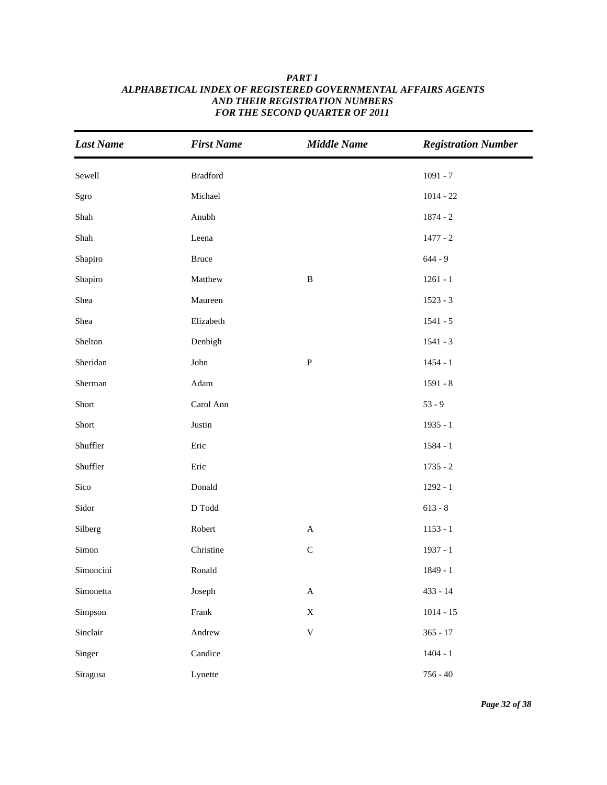| <b>Last Name</b> | <b>First Name</b>                | <b>Middle Name</b>        | <b>Registration Number</b> |
|------------------|----------------------------------|---------------------------|----------------------------|
| Sewell           | <b>Bradford</b>                  |                           | $1091 - 7$                 |
| Sgro             | Michael                          |                           | $1014 - 22$                |
| $Shah$           | Anubh                            |                           | $1874 - 2$                 |
| Shah             | Leena                            |                           | $1477 - 2$                 |
| Shapiro          | <b>Bruce</b>                     |                           | $644 - 9$                  |
| Shapiro          | Matthew                          | $\, {\bf B}$              | $1261 - 1$                 |
| Shea             | Maureen                          |                           | $1523 - 3$                 |
| Shea             | Elizabeth                        |                           | $1541 - 5$                 |
| Shelton          | Denbigh                          |                           | $1541 - 3$                 |
| Sheridan         | ${\rm John}$                     | $\, {\bf P}$              | $1454 - 1$                 |
| Sherman          | Adam                             |                           | $1591 - 8$                 |
| Short            | Carol Ann                        |                           | $53 - 9$                   |
| Short            | Justin                           |                           | $1935 - 1$                 |
| Shuffler         | Eric                             |                           | $1584 - 1$                 |
| Shuffler         | Eric                             |                           | $1735 - 2$                 |
| Sico             | Donald                           |                           | $1292 - 1$                 |
| Sidor            | $\operatorname{D}\nolimits$ Todd |                           | $613 - 8$                  |
| Silberg          | Robert                           | $\mathbf{A}$              | $1153 - 1$                 |
| Simon            | Christine                        | $\mathsf C$               | $1937 - 1$                 |
| Simoncini        | Ronald                           |                           | $1849 - 1$                 |
| Simonetta        | Joseph                           | $\boldsymbol{\mathsf{A}}$ | $433 - 14$                 |
| Simpson          | Frank                            | $\mathbf X$               | $1014 - 15$                |
| Sinclair         | Andrew                           | $\mathbf V$               | $365 - 17$                 |
| Singer           | Candice                          |                           | $1404 - 1$                 |
| Siragusa         | Lynette                          |                           | $756 - 40$                 |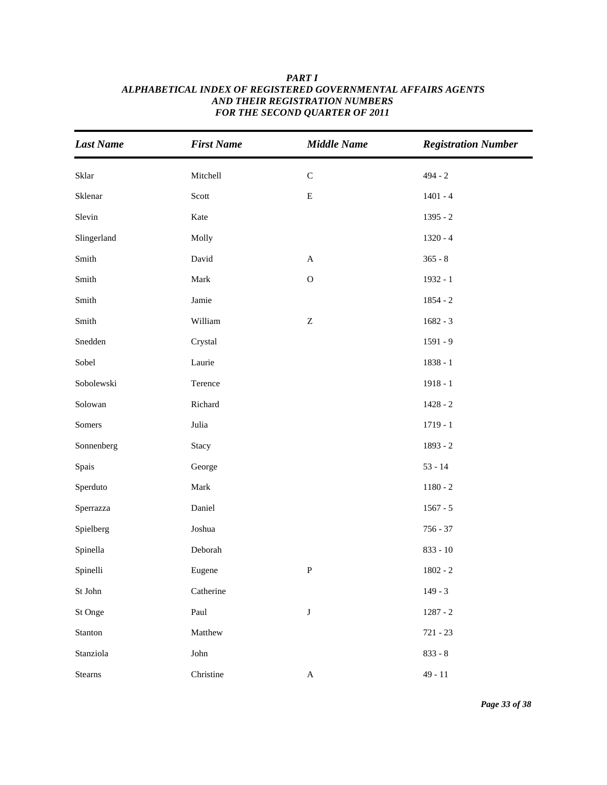| <b>Last Name</b> | <b>First Name</b> | <b>Middle Name</b> | <b>Registration Number</b> |
|------------------|-------------------|--------------------|----------------------------|
| Sklar            | Mitchell          | ${\bf C}$          | $494 - 2$                  |
| Sklenar          | Scott             | ${\bf E}$          | $1401 - 4$                 |
| Slevin           | Kate              |                    | $1395 - 2$                 |
| Slingerland      | Molly             |                    | $1320 - 4$                 |
| Smith            | David             | $\mathbf A$        | $365 - 8$                  |
| Smith            | Mark              | $\mathbf O$        | 1932 - 1                   |
| Smith            | Jamie             |                    | $1854 - 2$                 |
| ${\rm Smith}$    | William           | $\mathbf Z$        | $1682 - 3$                 |
| Snedden          | Crystal           |                    | $1591 - 9$                 |
| Sobel            | Laurie            |                    | $1838 - 1$                 |
| Sobolewski       | Terence           |                    | $1918 - 1$                 |
| Solowan          | Richard           |                    | $1428 - 2$                 |
| Somers           | Julia             |                    | $1719 - 1$                 |
| Sonnenberg       | Stacy             |                    | 1893 - 2                   |
| Spais            | George            |                    | $53 - 14$                  |
| Sperduto         | Mark              |                    | $1180 - 2$                 |
| Sperrazza        | Daniel            |                    | $1567 - 5$                 |
| Spielberg        | Joshua            |                    | $756 - 37$                 |
| Spinella         | Deborah           |                    | $833 - 10$                 |
| Spinelli         | Eugene            | ${\bf P}$          | $1802 - 2$                 |
| St John          | Catherine         |                    | $149 - 3$                  |
| St Onge          | Paul              | $\bf J$            | $1287 - 2$                 |
| Stanton          | Matthew           |                    | $721 - 23$                 |
| Stanziola        | John              |                    | $833 - 8$                  |
| <b>Stearns</b>   | Christine         | $\mathbf A$        | $49 - 11$                  |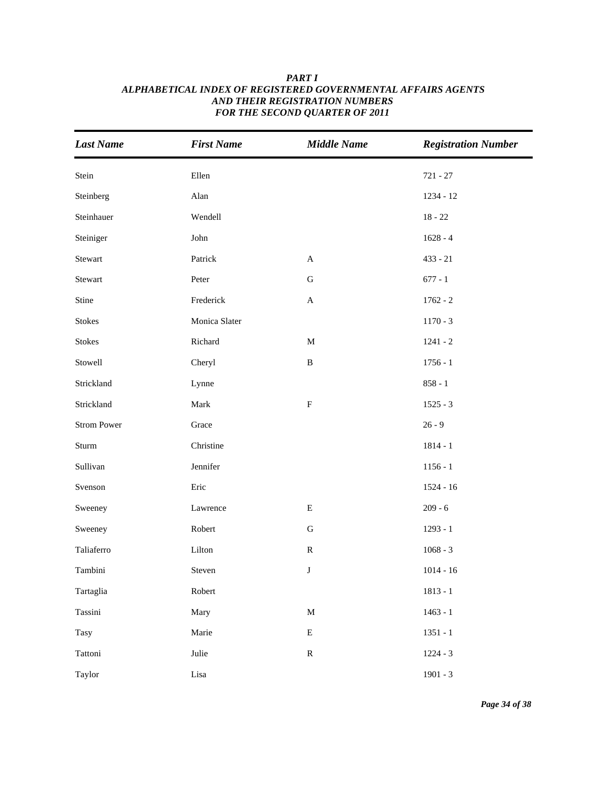| <b>Last Name</b>   | <b>First Name</b> | <b>Middle Name</b>        | <b>Registration Number</b> |
|--------------------|-------------------|---------------------------|----------------------------|
| Stein              | Ellen             |                           | $721 - 27$                 |
| Steinberg          | Alan              |                           | $1234 - 12$                |
| Steinhauer         | Wendell           |                           | $18 - 22$                  |
| Steiniger          | ${\rm John}$      |                           | $1628 - 4$                 |
| Stewart            | Patrick           | $\mathbf A$               | $433 - 21$                 |
| Stewart            | Peter             | ${\bf G}$                 | $677 - 1$                  |
| Stine              | Frederick         | $\boldsymbol{\mathsf{A}}$ | $1762 - 2$                 |
| <b>Stokes</b>      | Monica Slater     |                           | $1170 - 3$                 |
| <b>Stokes</b>      | Richard           | $\mathbf M$               | $1241 - 2$                 |
| Stowell            | Cheryl            | $\, {\bf B}$              | $1756 - 1$                 |
| Strickland         | Lynne             |                           | $858 - 1$                  |
| Strickland         | Mark              | $\mathbf F$               | $1525 - 3$                 |
| <b>Strom Power</b> | Grace             |                           | $26 - 9$                   |
| Sturm              | Christine         |                           | $1814 - 1$                 |
| Sullivan           | Jennifer          |                           | $1156 - 1$                 |
| Svenson            | Eric              |                           | $1524 - 16$                |
| Sweeney            | Lawrence          | ${\bf E}$                 | $209 - 6$                  |
| Sweeney            | Robert            | G                         | $1293 - 1$                 |
| Taliaferro         | Lilton            | ${\bf R}$                 | $1068 - 3$                 |
| Tambini            | Steven            | $\bf J$                   | $1014 - 16$                |
| Tartaglia          | Robert            |                           | $1813 - 1$                 |
| Tassini            | Mary              | $\mathbf M$               | $1463 - 1$                 |
| Tasy               | Marie             | ${\bf E}$                 | $1351 - 1$                 |
| Tattoni            | Julie             | ${\bf R}$                 | $1224 - 3$                 |
| Taylor             | Lisa              |                           | $1901 - 3$                 |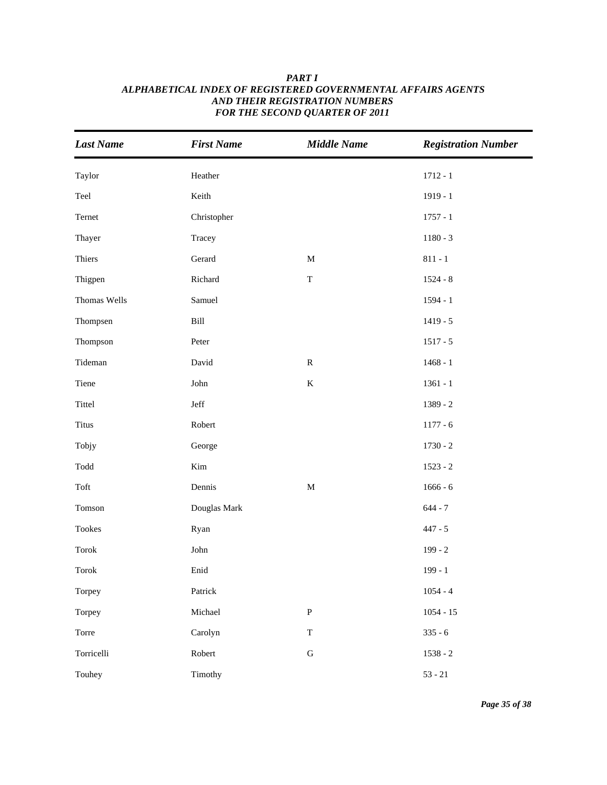| <b>Last Name</b>                | <b>First Name</b>     | <b>Middle Name</b> | <b>Registration Number</b> |
|---------------------------------|-----------------------|--------------------|----------------------------|
| Taylor                          | Heather               |                    | $1712 - 1$                 |
| Teel                            | Keith                 |                    | $1919 - 1$                 |
| Ternet                          | Christopher           |                    | $1757 - 1$                 |
| Thayer                          | Tracey                |                    | $1180 - 3$                 |
| Thiers                          | Gerard                | $\mathbf M$        | $811 - 1$                  |
| Thigpen                         | Richard               | $\mathbf T$        | $1524 - 8$                 |
| Thomas Wells                    | Samuel                |                    | $1594 - 1$                 |
| Thompsen                        | Bill                  |                    | $1419 - 5$                 |
| Thompson                        | Peter                 |                    | $1517 - 5$                 |
| Tideman                         | David                 | ${\bf R}$          | $1468 - 1$                 |
| Tiene                           | ${\rm John}$          | $\bf K$            | $1361 - 1$                 |
| Tittel                          | $\operatorname{Jeff}$ |                    | $1389 - 2$                 |
| <b>Titus</b>                    | Robert                |                    | $1177 - 6$                 |
| Tobjy                           | George                |                    | $1730 - 2$                 |
| $\operatorname{Todd}$           | Kim                   |                    | $1523 - 2$                 |
| Toft                            | Dennis                | $\mathbf M$        | $1666 - 6$                 |
| Tomson                          | Douglas Mark          |                    | $644 - 7$                  |
| Tookes                          | Ryan                  |                    | $447 - 5$                  |
| $\operatorname{\mathsf{Torok}}$ | ${\rm John}$          |                    | $199 - 2$                  |
| Torok                           | Enid                  |                    | $199 - 1$                  |
| Torpey                          | Patrick               |                    | $1054 - 4$                 |
| Torpey                          | Michael               | ${\bf P}$          | $1054 - 15$                |
| Torre                           | Carolyn               | $\mathbf T$        | $335 - 6$                  |
| Torricelli                      | Robert                | ${\bf G}$          | $1538 - 2$                 |
| Touhey                          | Timothy               |                    | $53 - 21$                  |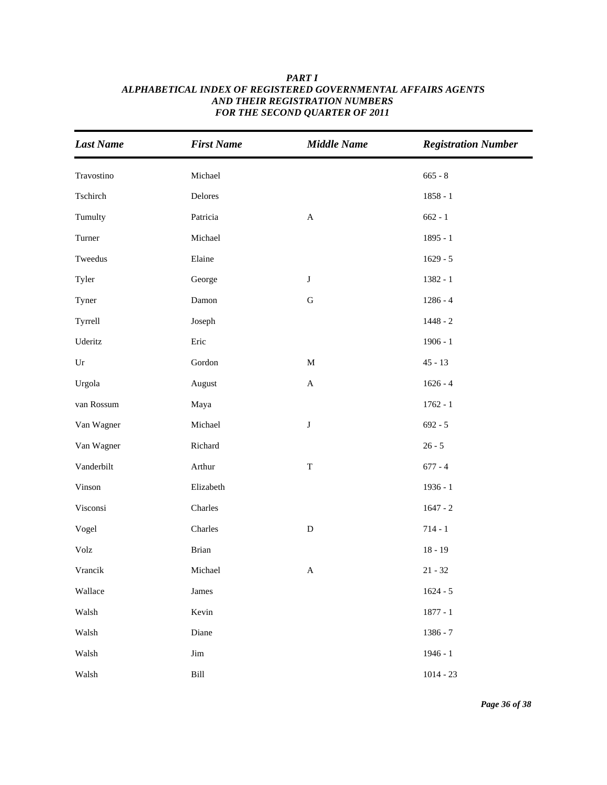| <b>Last Name</b>      | <b>First Name</b>     | <b>Middle Name</b>        | <b>Registration Number</b> |
|-----------------------|-----------------------|---------------------------|----------------------------|
| Travostino            | Michael               |                           | $665 - 8$                  |
| Tschirch              | Delores               |                           | $1858 - 1$                 |
| Tumulty               | Patricia              | $\boldsymbol{\mathsf{A}}$ | $662 - 1$                  |
| Turner                | Michael               |                           | $1895 - 1$                 |
| Tweedus               | Elaine                |                           | $1629 - 5$                 |
| Tyler                 | George                | $\bf J$                   | $1382 - 1$                 |
| Tyner                 | Damon                 | ${\bf G}$                 | $1286 - 4$                 |
| Tyrrell               | Joseph                |                           | $1448 - 2$                 |
| Uderitz               | Eric                  |                           | $1906 - 1$                 |
| $\operatorname{Ur}$   | Gordon                | $\mathbf M$               | $45 - 13$                  |
| Urgola                | August                | $\mathbf A$               | $1626 - 4$                 |
| van Rossum            | Maya                  |                           | $1762 - 1$                 |
| Van Wagner            | Michael               | $\bf J$                   | $692 - 5$                  |
| Van Wagner            | Richard               |                           | $26 - 5$                   |
| Vanderbilt            | Arthur                | $\mathbf T$               | $677 - 4$                  |
| Vinson                | Elizabeth             |                           | $1936 - 1$                 |
| Visconsi              | Charles               |                           | $1647 - 2$                 |
| Vogel                 | Charles               | ${\bf D}$                 | $714 - 1$                  |
| $\operatorname{Volz}$ | Brian                 |                           | $18 - 19$                  |
| Vrancik               | Michael               | $\boldsymbol{\mathsf{A}}$ | $21 - 32$                  |
| Wallace               | James                 |                           | $1624 - 5$                 |
| Walsh                 | Kevin                 |                           | $1877 - 1$                 |
| Walsh                 | Diane                 |                           | 1386 - 7                   |
| Walsh                 | Jim                   |                           | $1946 - 1$                 |
| Walsh                 | $\operatorname{Bill}$ |                           | $1014 - 23$                |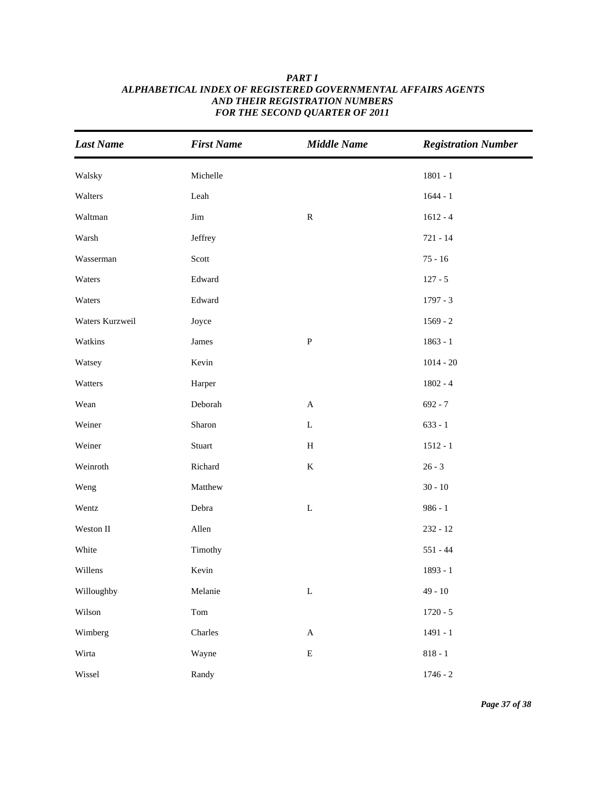| <b>Last Name</b> | <b>First Name</b> | <b>Middle Name</b>        | <b>Registration Number</b> |
|------------------|-------------------|---------------------------|----------------------------|
| Walsky           | Michelle          |                           | $1801 - 1$                 |
| Walters          | Leah              |                           | $1644 - 1$                 |
| Waltman          | Jim               | ${\bf R}$                 | $1612 - 4$                 |
| Warsh            | Jeffrey           |                           | $721 - 14$                 |
| Wasserman        | Scott             |                           | $75 - 16$                  |
| Waters           | Edward            |                           | $127 - 5$                  |
| Waters           | Edward            |                           | $1797 - 3$                 |
| Waters Kurzweil  | Joyce             |                           | $1569 - 2$                 |
| Watkins          | James             | ${\bf P}$                 | $1863 - 1$                 |
| Watsey           | Kevin             |                           | $1014 - 20$                |
| Watters          | Harper            |                           | $1802 - 4$                 |
| Wean             | Deborah           | $\mathbf A$               | $692 - 7$                  |
| Weiner           | Sharon            | $\mathbf L$               | $633 - 1$                  |
| Weiner           | Stuart            | $\, {\rm H}$              | $1512 - 1$                 |
| Weinroth         | Richard           | $\bf K$                   | $26 - 3$                   |
| Weng             | Matthew           |                           | $30 - 10$                  |
| Wentz            | Debra             | $\mathbf L$               | $986 - 1$                  |
| Weston II        | Allen             |                           | $232 - 12$                 |
| White            | Timothy           |                           | $551 - 44$                 |
| Willens          | Kevin             |                           | 1893 - 1                   |
| Willoughby       | Melanie           | $\mathbf L$               | $49 - 10$                  |
| Wilson           | Tom               |                           | $1720 - 5$                 |
| Wimberg          | Charles           | $\boldsymbol{\mathsf{A}}$ | $1491 - 1$                 |
| Wirta            | Wayne             | ${\bf E}$                 | $818 - 1$                  |
| Wissel           | Randy             |                           | $1746 - 2$                 |